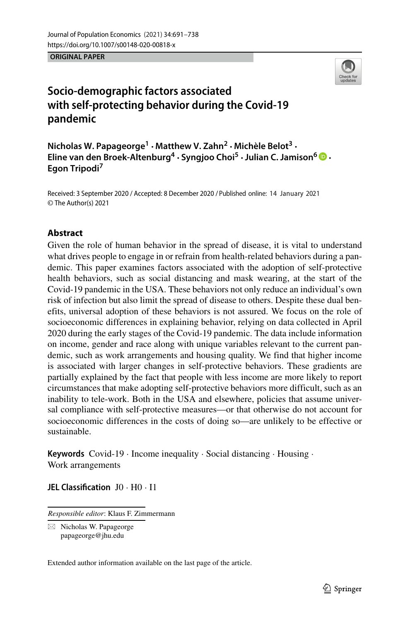**ORIGINAL PAPER**



# **Socio-demographic factors associated with self-protecting behavior during the Covid-19 pandemic**

**Nicholas W. Papageorge1 · Matthew V. Zahn<sup>2</sup> · Michele Belot ` <sup>3</sup> · Eline van den Broek-Altenburg4 · Syngjoo Choi5 ·Julian C. Jamison<sup>6</sup> · Egon Tripodi7**

Received: 3 September 2020 / Accepted: 8 December 2020 / Published online: 14 January 2021© The Author(s) 2021

## **Abstract**

Given the role of human behavior in the spread of disease, it is vital to understand what drives people to engage in or refrain from health-related behaviors during a pandemic. This paper examines factors associated with the adoption of self-protective health behaviors, such as social distancing and mask wearing, at the start of the Covid-19 pandemic in the USA. These behaviors not only reduce an individual's own risk of infection but also limit the spread of disease to others. Despite these dual benefits, universal adoption of these behaviors is not assured. We focus on the role of socioeconomic differences in explaining behavior, relying on data collected in April 2020 during the early stages of the Covid-19 pandemic. The data include information on income, gender and race along with unique variables relevant to the current pandemic, such as work arrangements and housing quality. We find that higher income is associated with larger changes in self-protective behaviors. These gradients are partially explained by the fact that people with less income are more likely to report circumstances that make adopting self-protective behaviors more difficult, such as an inability to tele-work. Both in the USA and elsewhere, policies that assume universal compliance with self-protective measures—or that otherwise do not account for socioeconomic differences in the costs of doing so—are unlikely to be effective or sustainable.

**Keywords** Covid-19 · Income inequality · Social distancing · Housing · Work arrangements

**JEL Classification** J0 · H0 · I1

*Responsible editor*: Klaus F. Zimmermann

- Nicholas W. Papageorge [papageorge@jhu.edu](mailto: papageorge@jhu.edu)

Extended author information available on the last page of the article.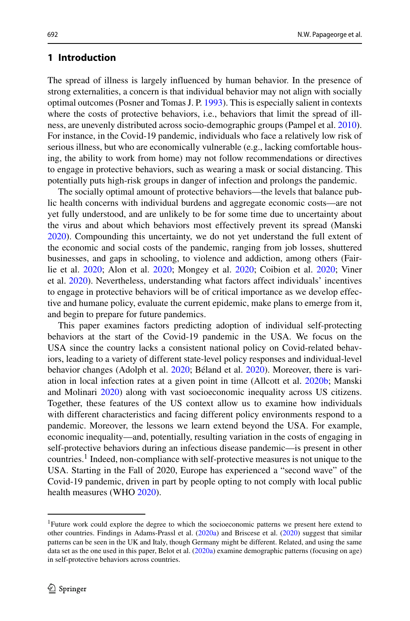#### **1 Introduction**

The spread of illness is largely influenced by human behavior. In the presence of strong externalities, a concern is that individual behavior may not align with socially optimal outcomes (Posner and Tomas J. P. [1993\)](#page-46-0). This is especially salient in contexts where the costs of protective behaviors, i.e., behaviors that limit the spread of illness, are unevenly distributed across socio-demographic groups (Pampel et al. [2010\)](#page-46-1). For instance, in the Covid-19 pandemic, individuals who face a relatively low risk of serious illness, but who are economically vulnerable (e.g., lacking comfortable housing, the ability to work from home) may not follow recommendations or directives to engage in protective behaviors, such as wearing a mask or social distancing. This potentially puts high-risk groups in danger of infection and prolongs the pandemic.

The socially optimal amount of protective behaviors—the levels that balance public health concerns with individual burdens and aggregate economic costs—are not yet fully understood, and are unlikely to be for some time due to uncertainty about the virus and about which behaviors most effectively prevent its spread (Manski [2020\)](#page-46-2). Compounding this uncertainty, we do not yet understand the full extent of the economic and social costs of the pandemic, ranging from job losses, shuttered businesses, and gaps in schooling, to violence and addiction, among others (Fairlie et al. [2020;](#page-45-0) Alon et al. [2020;](#page-44-0) Mongey et al. [2020;](#page-46-3) Coibion et al. [2020;](#page-45-1) Viner et al. [2020\)](#page-47-0). Nevertheless, understanding what factors affect individuals' incentives to engage in protective behaviors will be of critical importance as we develop effective and humane policy, evaluate the current epidemic, make plans to emerge from it, and begin to prepare for future pandemics.

This paper examines factors predicting adoption of individual self-protecting behaviors at the start of the Covid-19 pandemic in the USA. We focus on the USA since the country lacks a consistent national policy on Covid-related behaviors, leading to a variety of different state-level policy responses and individual-level behavior changes (Adolph et al. [2020;](#page-44-1) Béland et al. [2020\)](#page-45-2). Moreover, there is variation in local infection rates at a given point in time (Allcott et al. [2020b;](#page-44-2) Manski and Molinari [2020\)](#page-46-4) along with vast socioeconomic inequality across US citizens. Together, these features of the US context allow us to examine how individuals with different characteristics and facing different policy environments respond to a pandemic. Moreover, the lessons we learn extend beyond the USA. For example, economic inequality—and, potentially, resulting variation in the costs of engaging in self-protective behaviors during an infectious disease pandemic—is present in other countries[.1](#page-1-0) Indeed, non-compliance with self-protective measures is not unique to the USA. Starting in the Fall of 2020, Europe has experienced a "second wave" of the Covid-19 pandemic, driven in part by people opting to not comply with local public health measures (WHO [2020\)](#page-47-1).

<span id="page-1-0"></span><sup>1</sup>Future work could explore the degree to which the socioeconomic patterns we present here extend to other countries. Findings in Adams-Prassl et al. [\(2020a\)](#page-44-3) and Briscese et al. [\(2020\)](#page-45-3) suggest that similar patterns can be seen in the UK and Italy, though Germany might be different. Related, and using the same data set as the one used in this paper, Belot et al. [\(2020a\)](#page-45-4) examine demographic patterns (focusing on age) in self-protective behaviors across countries.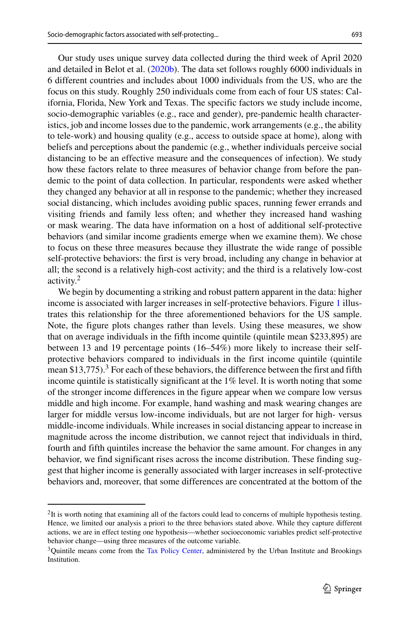Our study uses unique survey data collected during the third week of April 2020 and detailed in Belot et al. [\(2020b\)](#page-45-5). The data set follows roughly 6000 individuals in 6 different countries and includes about 1000 individuals from the US, who are the focus on this study. Roughly 250 individuals come from each of four US states: California, Florida, New York and Texas. The specific factors we study include income, socio-demographic variables (e.g., race and gender), pre-pandemic health characteristics, job and income losses due to the pandemic, work arrangements (e.g., the ability to tele-work) and housing quality (e.g., access to outside space at home), along with beliefs and perceptions about the pandemic (e.g., whether individuals perceive social distancing to be an effective measure and the consequences of infection). We study how these factors relate to three measures of behavior change from before the pandemic to the point of data collection. In particular, respondents were asked whether they changed any behavior at all in response to the pandemic; whether they increased social distancing, which includes avoiding public spaces, running fewer errands and visiting friends and family less often; and whether they increased hand washing or mask wearing. The data have information on a host of additional self-protective behaviors (and similar income gradients emerge when we examine them). We chose to focus on these three measures because they illustrate the wide range of possible self-protective behaviors: the first is very broad, including any change in behavior at all; the second is a relatively high-cost activity; and the third is a relatively low-cost activity[.2](#page-2-0)

We begin by documenting a striking and robust pattern apparent in the data: higher income is associated with larger increases in self-protective behaviors. Figure [1](#page-3-0) illustrates this relationship for the three aforementioned behaviors for the US sample. Note, the figure plots changes rather than levels. Using these measures, we show that on average individuals in the fifth income quintile (quintile mean \$233,895) are between 13 and 19 percentage points (16–54%) more likely to increase their selfprotective behaviors compared to individuals in the first income quintile (quintile mean \$1[3](#page-2-1),775).<sup>3</sup> For each of these behaviors, the difference between the first and fifth income quintile is statistically significant at the 1% level. It is worth noting that some of the stronger income differences in the figure appear when we compare low versus middle and high income. For example, hand washing and mask wearing changes are larger for middle versus low-income individuals, but are not larger for high- versus middle-income individuals. While increases in social distancing appear to increase in magnitude across the income distribution, we cannot reject that individuals in third, fourth and fifth quintiles increase the behavior the same amount. For changes in any behavior, we find significant rises across the income distribution. These finding suggest that higher income is generally associated with larger increases in self-protective behaviors and, moreover, that some differences are concentrated at the bottom of the

<span id="page-2-0"></span><sup>2</sup>It is worth noting that examining all of the factors could lead to concerns of multiple hypothesis testing. Hence, we limited our analysis a priori to the three behaviors stated above. While they capture different actions, we are in effect testing one hypothesis—whether socioeconomic variables predict self-protective behavior change—using three measures of the outcome variable.

<span id="page-2-1"></span><sup>&</sup>lt;sup>3</sup>Quintile means come from the [Tax Policy Center,](https://www.taxpolicycenter.org/statistics/household-income-quintiles) administered by the Urban Institute and Brookings Institution.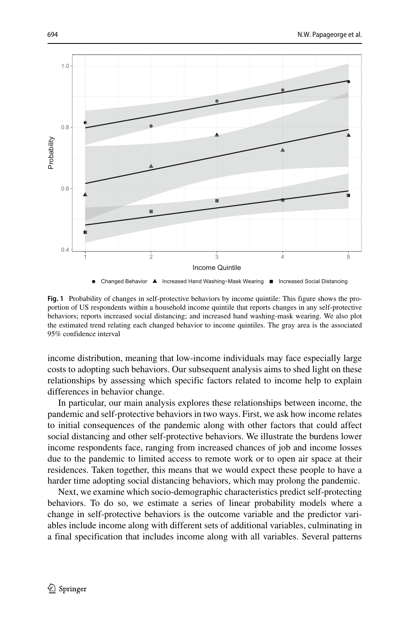<span id="page-3-0"></span>

**Fig. 1** Probability of changes in self-protective behaviors by income quintile: This figure shows the proportion of US respondents within a household income quintile that reports changes in any self-protective behaviors; reports increased social distancing; and increased hand washing-mask wearing. We also plot the estimated trend relating each changed behavior to income quintiles. The gray area is the associated 95% confidence interval

income distribution, meaning that low-income individuals may face especially large costs to adopting such behaviors. Our subsequent analysis aims to shed light on these relationships by assessing which specific factors related to income help to explain differences in behavior change.

In particular, our main analysis explores these relationships between income, the pandemic and self-protective behaviors in two ways. First, we ask how income relates to initial consequences of the pandemic along with other factors that could affect social distancing and other self-protective behaviors. We illustrate the burdens lower income respondents face, ranging from increased chances of job and income losses due to the pandemic to limited access to remote work or to open air space at their residences. Taken together, this means that we would expect these people to have a harder time adopting social distancing behaviors, which may prolong the pandemic.

Next, we examine which socio-demographic characteristics predict self-protecting behaviors. To do so, we estimate a series of linear probability models where a change in self-protective behaviors is the outcome variable and the predictor variables include income along with different sets of additional variables, culminating in a final specification that includes income along with all variables. Several patterns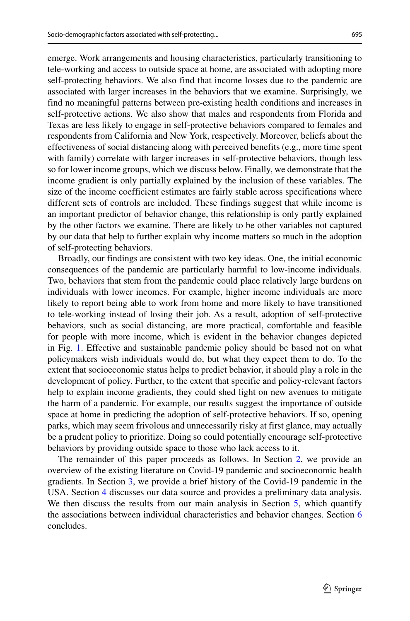emerge. Work arrangements and housing characteristics, particularly transitioning to tele-working and access to outside space at home, are associated with adopting more self-protecting behaviors. We also find that income losses due to the pandemic are associated with larger increases in the behaviors that we examine. Surprisingly, we find no meaningful patterns between pre-existing health conditions and increases in self-protective actions. We also show that males and respondents from Florida and Texas are less likely to engage in self-protective behaviors compared to females and respondents from California and New York, respectively. Moreover, beliefs about the effectiveness of social distancing along with perceived benefits (e.g., more time spent with family) correlate with larger increases in self-protective behaviors, though less so for lower income groups, which we discuss below. Finally, we demonstrate that the income gradient is only partially explained by the inclusion of these variables. The size of the income coefficient estimates are fairly stable across specifications where different sets of controls are included. These findings suggest that while income is an important predictor of behavior change, this relationship is only partly explained by the other factors we examine. There are likely to be other variables not captured by our data that help to further explain why income matters so much in the adoption of self-protecting behaviors.

Broadly, our findings are consistent with two key ideas. One, the initial economic consequences of the pandemic are particularly harmful to low-income individuals. Two, behaviors that stem from the pandemic could place relatively large burdens on individuals with lower incomes. For example, higher income individuals are more likely to report being able to work from home and more likely to have transitioned to tele-working instead of losing their job. As a result, adoption of self-protective behaviors, such as social distancing, are more practical, comfortable and feasible for people with more income, which is evident in the behavior changes depicted in Fig. [1.](#page-3-0) Effective and sustainable pandemic policy should be based not on what policymakers wish individuals would do, but what they expect them to do. To the extent that socioeconomic status helps to predict behavior, it should play a role in the development of policy. Further, to the extent that specific and policy-relevant factors help to explain income gradients, they could shed light on new avenues to mitigate the harm of a pandemic. For example, our results suggest the importance of outside space at home in predicting the adoption of self-protective behaviors. If so, opening parks, which may seem frivolous and unnecessarily risky at first glance, may actually be a prudent policy to prioritize. Doing so could potentially encourage self-protective behaviors by providing outside space to those who lack access to it.

The remainder of this paper proceeds as follows. In Section [2,](#page-5-0) we provide an overview of the existing literature on Covid-19 pandemic and socioeconomic health gradients. In Section [3,](#page-8-0) we provide a brief history of the Covid-19 pandemic in the USA. Section [4](#page-9-0) discusses our data source and provides a preliminary data analysis. We then discuss the results from our main analysis in Section [5,](#page-16-0) which quantify the associations between individual characteristics and behavior changes. Section [6](#page-29-0) concludes.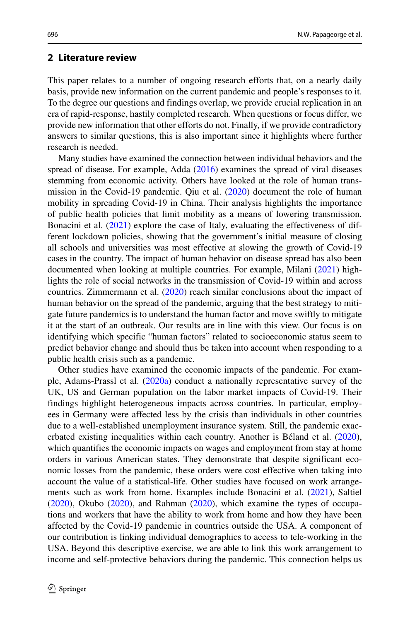#### <span id="page-5-0"></span>**2 Literature review**

This paper relates to a number of ongoing research efforts that, on a nearly daily basis, provide new information on the current pandemic and people's responses to it. To the degree our questions and findings overlap, we provide crucial replication in an era of rapid-response, hastily completed research. When questions or focus differ, we provide new information that other efforts do not. Finally, if we provide contradictory answers to similar questions, this is also important since it highlights where further research is needed.

Many studies have examined the connection between individual behaviors and the spread of disease. For example, Adda [\(2016\)](#page-44-4) examines the spread of viral diseases stemming from economic activity. Others have looked at the role of human transmission in the Covid-19 pandemic. Qiu et al. [\(2020\)](#page-46-5) document the role of human mobility in spreading Covid-19 in China. Their analysis highlights the importance of public health policies that limit mobility as a means of lowering transmission. Bonacini et al. [\(2021\)](#page-45-6) explore the case of Italy, evaluating the effectiveness of different lockdown policies, showing that the government's initial measure of closing all schools and universities was most effective at slowing the growth of Covid-19 cases in the country. The impact of human behavior on disease spread has also been documented when looking at multiple countries. For example, Milani [\(2021\)](#page-46-6) highlights the role of social networks in the transmission of Covid-19 within and across countries. Zimmermann et al. [\(2020\)](#page-47-2) reach similar conclusions about the impact of human behavior on the spread of the pandemic, arguing that the best strategy to mitigate future pandemics is to understand the human factor and move swiftly to mitigate it at the start of an outbreak. Our results are in line with this view. Our focus is on identifying which specific "human factors" related to socioeconomic status seem to predict behavior change and should thus be taken into account when responding to a public health crisis such as a pandemic.

Other studies have examined the economic impacts of the pandemic. For example, Adams-Prassl et al. [\(2020a\)](#page-44-3) conduct a nationally representative survey of the UK, US and German population on the labor market impacts of Covid-19. Their findings highlight heterogeneous impacts across countries. In particular, employees in Germany were affected less by the crisis than individuals in other countries due to a well-established unemployment insurance system. Still, the pandemic exacerbated existing inequalities within each country. Another is Béland et al.  $(2020)$  $(2020)$ , which quantifies the economic impacts on wages and employment from stay at home orders in various American states. They demonstrate that despite significant economic losses from the pandemic, these orders were cost effective when taking into account the value of a statistical-life. Other studies have focused on work arrangements such as work from home. Examples include Bonacini et al. [\(2021\)](#page-45-7), Saltiel [\(2020\)](#page-46-7), Okubo [\(2020\)](#page-46-8), and Rahman [\(2020\)](#page-46-9), which examine the types of occupations and workers that have the ability to work from home and how they have been affected by the Covid-19 pandemic in countries outside the USA. A component of our contribution is linking individual demographics to access to tele-working in the USA. Beyond this descriptive exercise, we are able to link this work arrangement to income and self-protective behaviors during the pandemic. This connection helps us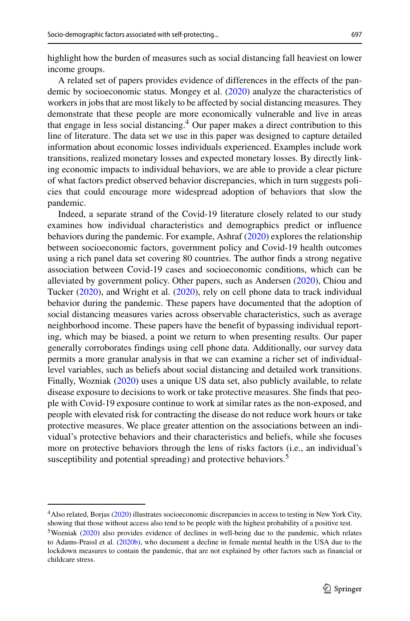highlight how the burden of measures such as social distancing fall heaviest on lower income groups.

A related set of papers provides evidence of differences in the effects of the pandemic by socioeconomic status. Mongey et al. [\(2020\)](#page-46-3) analyze the characteristics of workers in jobs that are most likely to be affected by social distancing measures. They demonstrate that these people are more economically vulnerable and live in areas that engage in less social distancing[.4](#page-6-0) Our paper makes a direct contribution to this line of literature. The data set we use in this paper was designed to capture detailed information about economic losses individuals experienced. Examples include work transitions, realized monetary losses and expected monetary losses. By directly linking economic impacts to individual behaviors, we are able to provide a clear picture of what factors predict observed behavior discrepancies, which in turn suggests policies that could encourage more widespread adoption of behaviors that slow the pandemic.

Indeed, a separate strand of the Covid-19 literature closely related to our study examines how individual characteristics and demographics predict or influence behaviors during the pandemic. For example, Ashraf [\(2020\)](#page-44-5) explores the relationship between socioeconomic factors, government policy and Covid-19 health outcomes using a rich panel data set covering 80 countries. The author finds a strong negative association between Covid-19 cases and socioeconomic conditions, which can be alleviated by government policy. Other papers, such as Andersen [\(2020\)](#page-44-6), Chiou and Tucker [\(2020\)](#page-45-8), and Wright et al. [\(2020\)](#page-47-3), rely on cell phone data to track individual behavior during the pandemic. These papers have documented that the adoption of social distancing measures varies across observable characteristics, such as average neighborhood income. These papers have the benefit of bypassing individual reporting, which may be biased, a point we return to when presenting results. Our paper generally corroborates findings using cell phone data. Additionally, our survey data permits a more granular analysis in that we can examine a richer set of individuallevel variables, such as beliefs about social distancing and detailed work transitions. Finally, Wozniak [\(2020\)](#page-47-4) uses a unique US data set, also publicly available, to relate disease exposure to decisions to work or take protective measures. She finds that people with Covid-19 exposure continue to work at similar rates as the non-exposed, and people with elevated risk for contracting the disease do not reduce work hours or take protective measures. We place greater attention on the associations between an individual's protective behaviors and their characteristics and beliefs, while she focuses more on protective behaviors through the lens of risks factors (i.e., an individual's susceptibility and potential spreading) and protective behaviors.<sup>5</sup>

<span id="page-6-0"></span><sup>4</sup>Also related, Borjas [\(2020\)](#page-45-9) illustrates socioeconomic discrepancies in access to testing in New York City, showing that those without access also tend to be people with the highest probability of a positive test.

<span id="page-6-1"></span><sup>5</sup>Wozniak [\(2020\)](#page-47-4) also provides evidence of declines in well-being due to the pandemic, which relates to Adams-Prassl et al. [\(2020b\)](#page-44-7), who document a decline in female mental health in the USA due to the lockdown measures to contain the pandemic, that are not explained by other factors such as financial or childcare stress.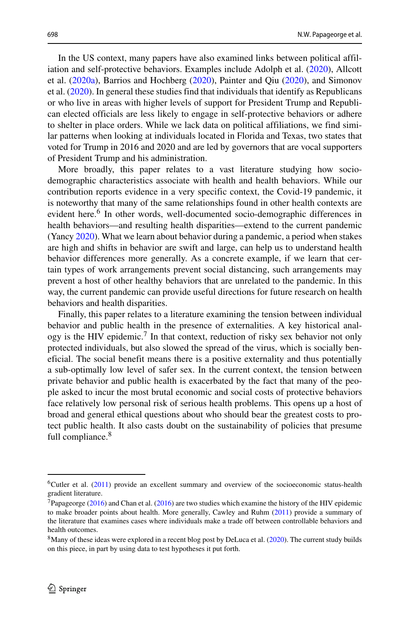In the US context, many papers have also examined links between political affiliation and self-protective behaviors. Examples include Adolph et al. [\(2020\)](#page-44-1), Allcott et al. [\(2020a\)](#page-44-8), Barrios and Hochberg [\(2020\)](#page-45-10), Painter and Qiu [\(2020\)](#page-46-10), and Simonov et al. [\(2020\)](#page-46-11). In general these studies find that individuals that identify as Republicans or who live in areas with higher levels of support for President Trump and Republican elected officials are less likely to engage in self-protective behaviors or adhere to shelter in place orders. While we lack data on political affiliations, we find similar patterns when looking at individuals located in Florida and Texas, two states that voted for Trump in 2016 and 2020 and are led by governors that are vocal supporters of President Trump and his administration.

More broadly, this paper relates to a vast literature studying how sociodemographic characteristics associate with health and health behaviors. While our contribution reports evidence in a very specific context, the Covid-19 pandemic, it is noteworthy that many of the same relationships found in other health contexts are evident here.<sup>[6](#page-7-0)</sup> In other words, well-documented socio-demographic differences in health behaviors—and resulting health disparities—extend to the current pandemic (Yancy [2020\)](#page-47-5). What we learn about behavior during a pandemic, a period when stakes are high and shifts in behavior are swift and large, can help us to understand health behavior differences more generally. As a concrete example, if we learn that certain types of work arrangements prevent social distancing, such arrangements may prevent a host of other healthy behaviors that are unrelated to the pandemic. In this way, the current pandemic can provide useful directions for future research on health behaviors and health disparities.

Finally, this paper relates to a literature examining the tension between individual behavior and public health in the presence of externalities. A key historical analogy is the HIV epidemic.<sup>7</sup> In that context, reduction of risky sex behavior not only protected individuals, but also slowed the spread of the virus, which is socially beneficial. The social benefit means there is a positive externality and thus potentially a sub-optimally low level of safer sex. In the current context, the tension between private behavior and public health is exacerbated by the fact that many of the people asked to incur the most brutal economic and social costs of protective behaviors face relatively low personal risk of serious health problems. This opens up a host of broad and general ethical questions about who should bear the greatest costs to protect public health. It also casts doubt on the sustainability of policies that presume full compliance.<sup>[8](#page-7-2)</sup>

<span id="page-7-0"></span><sup>6</sup>Cutler et al. [\(2011\)](#page-45-11) provide an excellent summary and overview of the socioeconomic status-health gradient literature.

<span id="page-7-1"></span><sup>&</sup>lt;sup>7</sup>Papageorge [\(2016\)](#page-45-12) and Chan et al. (2016) are two studies which examine the history of the HIV epidemic to make broader points about health. More generally, Cawley and Ruhm [\(2011\)](#page-45-13) provide a summary of the literature that examines cases where individuals make a trade off between controllable behaviors and health outcomes.

<span id="page-7-2"></span><sup>&</sup>lt;sup>8</sup>Many of these ideas were explored in a recent blog post by DeLuca et al. [\(2020\)](#page-45-14). The current study builds on this piece, in part by using data to test hypotheses it put forth.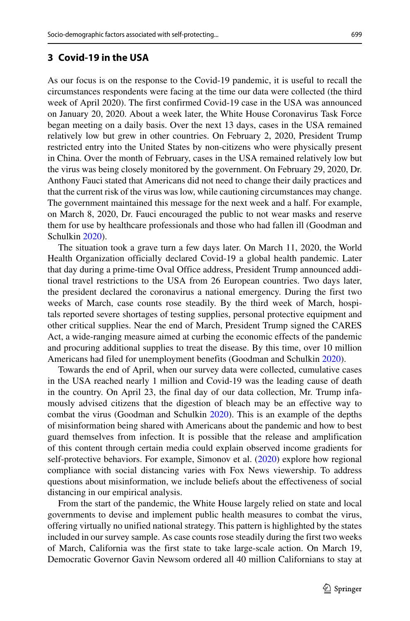### <span id="page-8-0"></span>**3 Covid-19 in the USA**

As our focus is on the response to the Covid-19 pandemic, it is useful to recall the circumstances respondents were facing at the time our data were collected (the third week of April 2020). The first confirmed Covid-19 case in the USA was announced on January 20, 2020. About a week later, the White House Coronavirus Task Force began meeting on a daily basis. Over the next 13 days, cases in the USA remained relatively low but grew in other countries. On February 2, 2020, President Trump restricted entry into the United States by non-citizens who were physically present in China. Over the month of February, cases in the USA remained relatively low but the virus was being closely monitored by the government. On February 29, 2020, Dr. Anthony Fauci stated that Americans did not need to change their daily practices and that the current risk of the virus was low, while cautioning circumstances may change. The government maintained this message for the next week and a half. For example, on March 8, 2020, Dr. Fauci encouraged the public to not wear masks and reserve them for use by healthcare professionals and those who had fallen ill (Goodman and Schulkin [2020\)](#page-45-15).

The situation took a grave turn a few days later. On March 11, 2020, the World Health Organization officially declared Covid-19 a global health pandemic. Later that day during a prime-time Oval Office address, President Trump announced additional travel restrictions to the USA from 26 European countries. Two days later, the president declared the coronavirus a national emergency. During the first two weeks of March, case counts rose steadily. By the third week of March, hospitals reported severe shortages of testing supplies, personal protective equipment and other critical supplies. Near the end of March, President Trump signed the CARES Act, a wide-ranging measure aimed at curbing the economic effects of the pandemic and procuring additional supplies to treat the disease. By this time, over 10 million Americans had filed for unemployment benefits (Goodman and Schulkin [2020\)](#page-45-15).

Towards the end of April, when our survey data were collected, cumulative cases in the USA reached nearly 1 million and Covid-19 was the leading cause of death in the country. On April 23, the final day of our data collection, Mr. Trump infamously advised citizens that the digestion of bleach may be an effective way to combat the virus (Goodman and Schulkin [2020\)](#page-45-15). This is an example of the depths of misinformation being shared with Americans about the pandemic and how to best guard themselves from infection. It is possible that the release and amplification of this content through certain media could explain observed income gradients for self-protective behaviors. For example, Simonov et al. [\(2020\)](#page-46-11) explore how regional compliance with social distancing varies with Fox News viewership. To address questions about misinformation, we include beliefs about the effectiveness of social distancing in our empirical analysis.

From the start of the pandemic, the White House largely relied on state and local governments to devise and implement public health measures to combat the virus, offering virtually no unified national strategy. This pattern is highlighted by the states included in our survey sample. As case counts rose steadily during the first two weeks of March, California was the first state to take large-scale action. On March 19, Democratic Governor Gavin Newsom ordered all 40 million Californians to stay at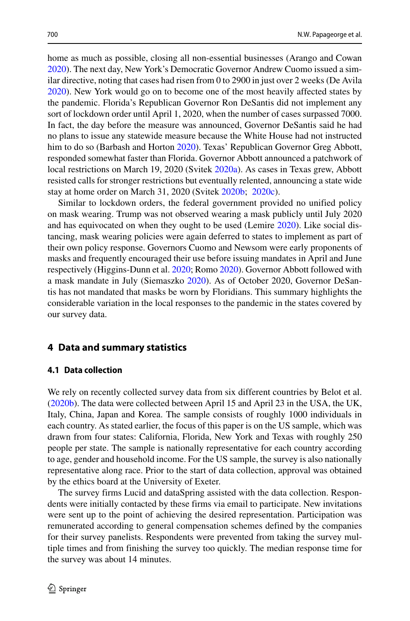home as much as possible, closing all non-essential businesses (Arango and Cowan [2020\)](#page-44-9). The next day, New York's Democratic Governor Andrew Cuomo issued a similar directive, noting that cases had risen from 0 to 2900 in just over 2 weeks (De Avila [2020\)](#page-45-16). New York would go on to become one of the most heavily affected states by the pandemic. Florida's Republican Governor Ron DeSantis did not implement any sort of lockdown order until April 1, 2020, when the number of cases surpassed 7000. In fact, the day before the measure was announced, Governor DeSantis said he had no plans to issue any statewide measure because the White House had not instructed him to do so (Barbash and Horton [2020\)](#page-45-17). Texas' Republican Governor Greg Abbott, responded somewhat faster than Florida. Governor Abbott announced a patchwork of local restrictions on March 19, 2020 (Svitek [2020a\)](#page-46-13). As cases in Texas grew, Abbott resisted calls for stronger restrictions but eventually relented, announcing a state wide stay at home order on March 31, 2020 (Svitek [2020b;](#page-46-14) [2020c\)](#page-46-15).

Similar to lockdown orders, the federal government provided no unified policy on mask wearing. Trump was not observed wearing a mask publicly until July 2020 and has equivocated on when they ought to be used (Lemire [2020\)](#page-46-16). Like social distancing, mask wearing policies were again deferred to states to implement as part of their own policy response. Governors Cuomo and Newsom were early proponents of masks and frequently encouraged their use before issuing mandates in April and June respectively (Higgins-Dunn et al. [2020;](#page-45-18) Romo [2020\)](#page-46-17). Governor Abbott followed with a mask mandate in July (Siemaszko [2020\)](#page-46-18). As of October 2020, Governor DeSantis has not mandated that masks be worn by Floridians. This summary highlights the considerable variation in the local responses to the pandemic in the states covered by our survey data.

## <span id="page-9-0"></span>**4 Data and summary statistics**

#### **4.1 Data collection**

We rely on recently collected survey data from six different countries by Belot et al. [\(2020b\)](#page-45-5). The data were collected between April 15 and April 23 in the USA, the UK, Italy, China, Japan and Korea. The sample consists of roughly 1000 individuals in each country. As stated earlier, the focus of this paper is on the US sample, which was drawn from four states: California, Florida, New York and Texas with roughly 250 people per state. The sample is nationally representative for each country according to age, gender and household income. For the US sample, the survey is also nationally representative along race. Prior to the start of data collection, approval was obtained by the ethics board at the University of Exeter.

The survey firms Lucid and dataSpring assisted with the data collection. Respondents were initially contacted by these firms via email to participate. New invitations were sent up to the point of achieving the desired representation. Participation was remunerated according to general compensation schemes defined by the companies for their survey panelists. Respondents were prevented from taking the survey multiple times and from finishing the survey too quickly. The median response time for the survey was about 14 minutes.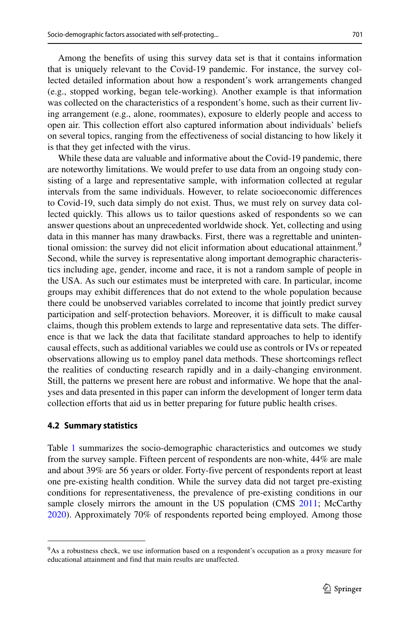Among the benefits of using this survey data set is that it contains information that is uniquely relevant to the Covid-19 pandemic. For instance, the survey collected detailed information about how a respondent's work arrangements changed (e.g., stopped working, began tele-working). Another example is that information was collected on the characteristics of a respondent's home, such as their current living arrangement (e.g., alone, roommates), exposure to elderly people and access to open air. This collection effort also captured information about individuals' beliefs on several topics, ranging from the effectiveness of social distancing to how likely it is that they get infected with the virus.

While these data are valuable and informative about the Covid-19 pandemic, there are noteworthy limitations. We would prefer to use data from an ongoing study consisting of a large and representative sample, with information collected at regular intervals from the same individuals. However, to relate socioeconomic differences to Covid-19, such data simply do not exist. Thus, we must rely on survey data collected quickly. This allows us to tailor questions asked of respondents so we can answer questions about an unprecedented worldwide shock. Yet, collecting and using data in this manner has many drawbacks. First, there was a regrettable and unintentional omission: the survey did not elicit information about educational attainment.<sup>9</sup> Second, while the survey is representative along important demographic characteristics including age, gender, income and race, it is not a random sample of people in the USA. As such our estimates must be interpreted with care. In particular, income groups may exhibit differences that do not extend to the whole population because there could be unobserved variables correlated to income that jointly predict survey participation and self-protection behaviors. Moreover, it is difficult to make causal claims, though this problem extends to large and representative data sets. The difference is that we lack the data that facilitate standard approaches to help to identify causal effects, such as additional variables we could use as controls or IVs or repeated observations allowing us to employ panel data methods. These shortcomings reflect the realities of conducting research rapidly and in a daily-changing environment. Still, the patterns we present here are robust and informative. We hope that the analyses and data presented in this paper can inform the development of longer term data collection efforts that aid us in better preparing for future public health crises.

#### **4.2 Summary statistics**

Table [1](#page-11-0) summarizes the socio-demographic characteristics and outcomes we study from the survey sample. Fifteen percent of respondents are non-white, 44% are male and about 39% are 56 years or older. Forty-five percent of respondents report at least one pre-existing health condition. While the survey data did not target pre-existing conditions for representativeness, the prevalence of pre-existing conditions in our sample closely mirrors the amount in the US population (CMS [2011;](#page-45-19) McCarthy [2020\)](#page-46-19). Approximately 70% of respondents reported being employed. Among those

<span id="page-10-0"></span><sup>&</sup>lt;sup>9</sup>As a robustness check, we use information based on a respondent's occupation as a proxy measure for educational attainment and find that main results are unaffected.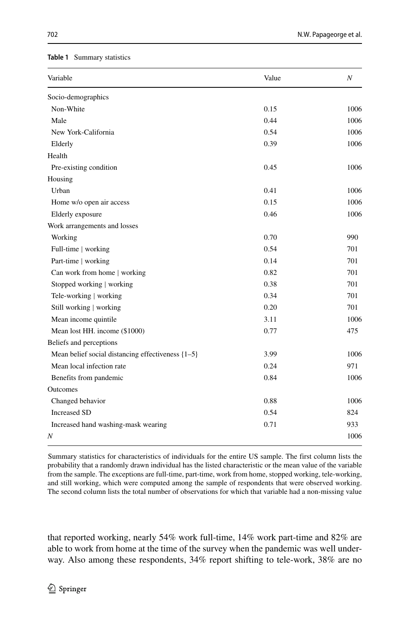#### <span id="page-11-0"></span>**Table 1** Summary statistics

| Variable                                              | Value | N    |
|-------------------------------------------------------|-------|------|
| Socio-demographics                                    |       |      |
| Non-White                                             | 0.15  | 1006 |
| Male                                                  | 0.44  | 1006 |
| New York-California                                   | 0.54  | 1006 |
| Elderly                                               | 0.39  | 1006 |
| Health                                                |       |      |
| Pre-existing condition                                | 0.45  | 1006 |
| Housing                                               |       |      |
| Urban                                                 | 0.41  | 1006 |
| Home w/o open air access                              | 0.15  | 1006 |
| Elderly exposure                                      | 0.46  | 1006 |
| Work arrangements and losses                          |       |      |
| Working                                               | 0.70  | 990  |
| Full-time   working                                   | 0.54  | 701  |
| Part-time   working                                   | 0.14  | 701  |
| Can work from home   working                          | 0.82  | 701  |
| Stopped working   working                             | 0.38  | 701  |
| Tele-working   working                                | 0.34  | 701  |
| Still working   working                               | 0.20  | 701  |
| Mean income quintile                                  | 3.11  | 1006 |
| Mean lost HH. income (\$1000)                         | 0.77  | 475  |
| Beliefs and perceptions                               |       |      |
| Mean belief social distancing effectiveness $\{1-5\}$ | 3.99  | 1006 |
| Mean local infection rate                             | 0.24  | 971  |
| Benefits from pandemic                                | 0.84  | 1006 |
| Outcomes                                              |       |      |
| Changed behavior                                      | 0.88  | 1006 |
| <b>Increased SD</b>                                   | 0.54  | 824  |
| Increased hand washing-mask wearing                   | 0.71  | 933  |
| Ν                                                     |       | 1006 |

Summary statistics for characteristics of individuals for the entire US sample. The first column lists the probability that a randomly drawn individual has the listed characteristic or the mean value of the variable from the sample. The exceptions are full-time, part-time, work from home, stopped working, tele-working, and still working, which were computed among the sample of respondents that were observed working. The second column lists the total number of observations for which that variable had a non-missing value

that reported working, nearly 54% work full-time, 14% work part-time and 82% are able to work from home at the time of the survey when the pandemic was well underway. Also among these respondents, 34% report shifting to tele-work, 38% are no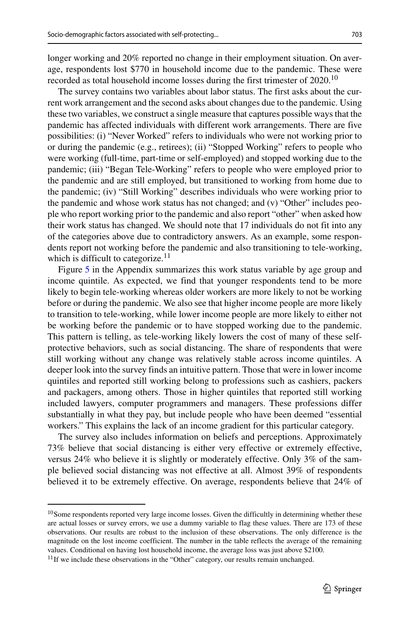longer working and 20% reported no change in their employment situation. On average, respondents lost \$770 in household income due to the pandemic. These were recorded as total household income losses during the first trimester of 2020.<sup>10</sup>

The survey contains two variables about labor status. The first asks about the current work arrangement and the second asks about changes due to the pandemic. Using these two variables, we construct a single measure that captures possible ways that the pandemic has affected individuals with different work arrangements. There are five possibilities: (i) "Never Worked" refers to individuals who were not working prior to or during the pandemic (e.g., retirees); (ii) "Stopped Working" refers to people who were working (full-time, part-time or self-employed) and stopped working due to the pandemic; (iii) "Began Tele-Working" refers to people who were employed prior to the pandemic and are still employed, but transitioned to working from home due to the pandemic; (iv) "Still Working" describes individuals who were working prior to the pandemic and whose work status has not changed; and (v) "Other" includes people who report working prior to the pandemic and also report "other" when asked how their work status has changed. We should note that 17 individuals do not fit into any of the categories above due to contradictory answers. As an example, some respondents report not working before the pandemic and also transitioning to tele-working, which is difficult to categorize.<sup>[11](#page-12-1)</sup>

Figure 5 in the Appendix summarizes this work status variable by age group and income quintile. As expected, we find that younger respondents tend to be more likely to begin tele-working whereas older workers are more likely to not be working before or during the pandemic. We also see that higher income people are more likely to transition to tele-working, while lower income people are more likely to either not be working before the pandemic or to have stopped working due to the pandemic. This pattern is telling, as tele-working likely lowers the cost of many of these selfprotective behaviors, such as social distancing. The share of respondents that were still working without any change was relatively stable across income quintiles. A deeper look into the survey finds an intuitive pattern. Those that were in lower income quintiles and reported still working belong to professions such as cashiers, packers and packagers, among others. Those in higher quintiles that reported still working included lawyers, computer programmers and managers. These professions differ substantially in what they pay, but include people who have been deemed "essential workers." This explains the lack of an income gradient for this particular category.

The survey also includes information on beliefs and perceptions. Approximately 73% believe that social distancing is either very effective or extremely effective, versus 24% who believe it is slightly or moderately effective. Only 3% of the sample believed social distancing was not effective at all. Almost 39% of respondents believed it to be extremely effective. On average, respondents believe that 24% of

<span id="page-12-0"></span><sup>&</sup>lt;sup>10</sup>Some respondents reported very large income losses. Given the difficultly in determining whether these are actual losses or survey errors, we use a dummy variable to flag these values. There are 173 of these observations. Our results are robust to the inclusion of these observations. The only difference is the magnitude on the lost income coefficient. The number in the table reflects the average of the remaining values. Conditional on having lost household income, the average loss was just above \$2100.

<span id="page-12-1"></span><sup>&</sup>lt;sup>11</sup>If we include these observations in the "Other" category, our results remain unchanged.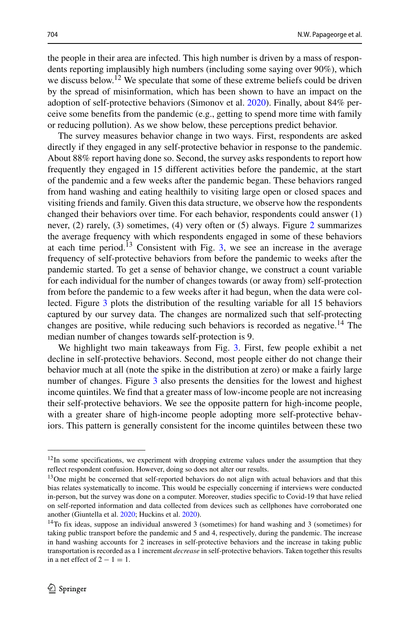the people in their area are infected. This high number is driven by a mass of respondents reporting implausibly high numbers (including some saying over 90%), which we discuss below.<sup>[12](#page-13-0)</sup> We speculate that some of these extreme beliefs could be driven by the spread of misinformation, which has been shown to have an impact on the adoption of self-protective behaviors (Simonov et al. [2020\)](#page-46-11). Finally, about 84% perceive some benefits from the pandemic (e.g., getting to spend more time with family or reducing pollution). As we show below, these perceptions predict behavior.

The survey measures behavior change in two ways. First, respondents are asked directly if they engaged in any self-protective behavior in response to the pandemic. About 88% report having done so. Second, the survey asks respondents to report how frequently they engaged in 15 different activities before the pandemic, at the start of the pandemic and a few weeks after the pandemic began. These behaviors ranged from hand washing and eating healthily to visiting large open or closed spaces and visiting friends and family. Given this data structure, we observe how the respondents changed their behaviors over time. For each behavior, respondents could answer (1) never, (2) rarely, (3) sometimes, (4) very often or (5) always. Figure [2](#page-14-0) summarizes the average frequency with which respondents engaged in some of these behaviors at each time period.<sup>[13](#page-13-1)</sup> Consistent with Fig. [3,](#page-15-0) we see an increase in the average frequency of self-protective behaviors from before the pandemic to weeks after the pandemic started. To get a sense of behavior change, we construct a count variable for each individual for the number of changes towards (or away from) self-protection from before the pandemic to a few weeks after it had begun, when the data were collected. Figure [3](#page-15-0) plots the distribution of the resulting variable for all 15 behaviors captured by our survey data. The changes are normalized such that self-protecting changes are positive, while reducing such behaviors is recorded as negative[.14](#page-13-2) The median number of changes towards self-protection is 9.

We highlight two main takeaways from Fig. [3.](#page-15-0) First, few people exhibit a net decline in self-protective behaviors. Second, most people either do not change their behavior much at all (note the spike in the distribution at zero) or make a fairly large number of changes. Figure [3](#page-15-0) also presents the densities for the lowest and highest income quintiles. We find that a greater mass of low-income people are not increasing their self-protective behaviors. We see the opposite pattern for high-income people, with a greater share of high-income people adopting more self-protective behaviors. This pattern is generally consistent for the income quintiles between these two

<span id="page-13-0"></span> $12$ In some specifications, we experiment with dropping extreme values under the assumption that they reflect respondent confusion. However, doing so does not alter our results.

<span id="page-13-1"></span><sup>&</sup>lt;sup>13</sup>One might be concerned that self-reported behaviors do not align with actual behaviors and that this bias relates systematically to income. This would be especially concerning if interviews were conducted in-person, but the survey was done on a computer. Moreover, studies specific to Covid-19 that have relied on self-reported information and data collected from devices such as cellphones have corroborated one another (Giuntella et al. [2020;](#page-45-20) Huckins et al. [2020\)](#page-45-21).

<span id="page-13-2"></span><sup>14</sup>To fix ideas, suppose an individual answered 3 (sometimes) for hand washing and 3 (sometimes) for taking public transport before the pandemic and 5 and 4, respectively, during the pandemic. The increase in hand washing accounts for 2 increases in self-protective behaviors and the increase in taking public transportation is recorded as a 1 increment *decrease* in self-protective behaviors. Taken together this results in a net effect of  $2 - 1 = 1$ .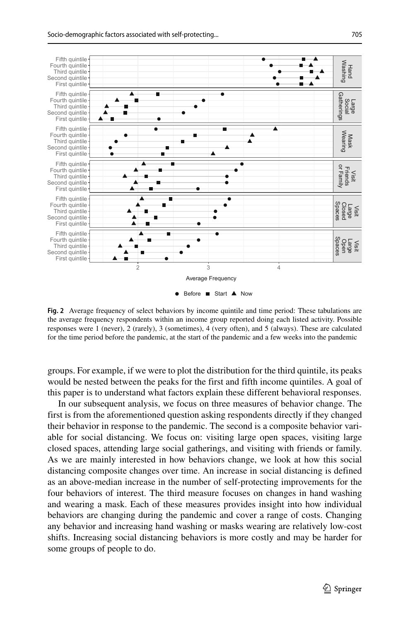<span id="page-14-0"></span>

**Fig. 2** Average frequency of select behaviors by income quintile and time period: These tabulations are the average frequency respondents within an income group reported doing each listed activity. Possible responses were 1 (never), 2 (rarely), 3 (sometimes), 4 (very often), and 5 (always). These are calculated for the time period before the pandemic, at the start of the pandemic and a few weeks into the pandemic

groups. For example, if we were to plot the distribution for the third quintile, its peaks would be nested between the peaks for the first and fifth income quintiles. A goal of this paper is to understand what factors explain these different behavioral responses.

In our subsequent analysis, we focus on three measures of behavior change. The first is from the aforementioned question asking respondents directly if they changed their behavior in response to the pandemic. The second is a composite behavior variable for social distancing. We focus on: visiting large open spaces, visiting large closed spaces, attending large social gatherings, and visiting with friends or family. As we are mainly interested in how behaviors change, we look at how this social distancing composite changes over time. An increase in social distancing is defined as an above-median increase in the number of self-protecting improvements for the four behaviors of interest. The third measure focuses on changes in hand washing and wearing a mask. Each of these measures provides insight into how individual behaviors are changing during the pandemic and cover a range of costs. Changing any behavior and increasing hand washing or masks wearing are relatively low-cost shifts. Increasing social distancing behaviors is more costly and may be harder for some groups of people to do.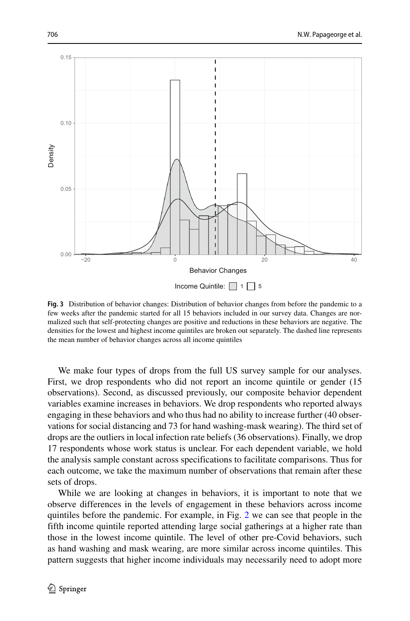<span id="page-15-0"></span>

**Fig. 3** Distribution of behavior changes: Distribution of behavior changes from before the pandemic to a few weeks after the pandemic started for all 15 behaviors included in our survey data. Changes are normalized such that self-protecting changes are positive and reductions in these behaviors are negative. The densities for the lowest and highest income quintiles are broken out separately. The dashed line represents the mean number of behavior changes across all income quintiles

We make four types of drops from the full US survey sample for our analyses. First, we drop respondents who did not report an income quintile or gender (15 observations). Second, as discussed previously, our composite behavior dependent variables examine increases in behaviors. We drop respondents who reported always engaging in these behaviors and who thus had no ability to increase further (40 observations for social distancing and 73 for hand washing-mask wearing). The third set of drops are the outliers in local infection rate beliefs (36 observations). Finally, we drop 17 respondents whose work status is unclear. For each dependent variable, we hold the analysis sample constant across specifications to facilitate comparisons. Thus for each outcome, we take the maximum number of observations that remain after these sets of drops.

While we are looking at changes in behaviors, it is important to note that we observe differences in the levels of engagement in these behaviors across income quintiles before the pandemic. For example, in Fig. [2](#page-14-0) we can see that people in the fifth income quintile reported attending large social gatherings at a higher rate than those in the lowest income quintile. The level of other pre-Covid behaviors, such as hand washing and mask wearing, are more similar across income quintiles. This pattern suggests that higher income individuals may necessarily need to adopt more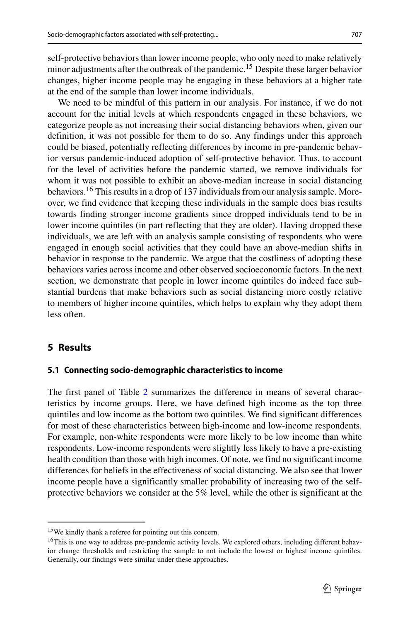self-protective behaviors than lower income people, who only need to make relatively minor adjustments after the outbreak of the pandemic.<sup>15</sup> Despite these larger behavior changes, higher income people may be engaging in these behaviors at a higher rate at the end of the sample than lower income individuals.

We need to be mindful of this pattern in our analysis. For instance, if we do not account for the initial levels at which respondents engaged in these behaviors, we categorize people as not increasing their social distancing behaviors when, given our definition, it was not possible for them to do so. Any findings under this approach could be biased, potentially reflecting differences by income in pre-pandemic behavior versus pandemic-induced adoption of self-protective behavior. Thus, to account for the level of activities before the pandemic started, we remove individuals for whom it was not possible to exhibit an above-median increase in social distancing behaviors.[16](#page-16-2) This results in a drop of 137 individuals from our analysis sample. Moreover, we find evidence that keeping these individuals in the sample does bias results towards finding stronger income gradients since dropped individuals tend to be in lower income quintiles (in part reflecting that they are older). Having dropped these individuals, we are left with an analysis sample consisting of respondents who were engaged in enough social activities that they could have an above-median shifts in behavior in response to the pandemic. We argue that the costliness of adopting these behaviors varies across income and other observed socioeconomic factors. In the next section, we demonstrate that people in lower income quintiles do indeed face substantial burdens that make behaviors such as social distancing more costly relative to members of higher income quintiles, which helps to explain why they adopt them less often.

## <span id="page-16-0"></span>**5 Results**

#### **5.1 Connecting socio-demographic characteristics to income**

The first panel of Table [2](#page-17-0) summarizes the difference in means of several characteristics by income groups. Here, we have defined high income as the top three quintiles and low income as the bottom two quintiles. We find significant differences for most of these characteristics between high-income and low-income respondents. For example, non-white respondents were more likely to be low income than white respondents. Low-income respondents were slightly less likely to have a pre-existing health condition than those with high incomes. Of note, we find no significant income differences for beliefs in the effectiveness of social distancing. We also see that lower income people have a significantly smaller probability of increasing two of the selfprotective behaviors we consider at the 5% level, while the other is significant at the

<sup>15</sup>We kindly thank a referee for pointing out this concern.

<span id="page-16-2"></span><span id="page-16-1"></span><sup>&</sup>lt;sup>16</sup>This is one way to address pre-pandemic activity levels. We explored others, including different behavior change thresholds and restricting the sample to not include the lowest or highest income quintiles. Generally, our findings were similar under these approaches.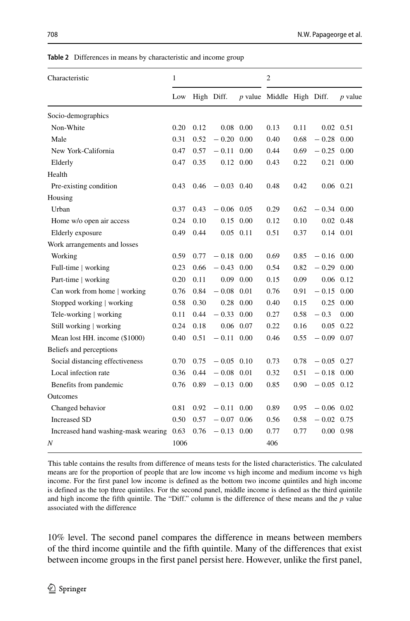| Beliefs and perceptions                                                                                                                                                                                                                                                                                                                                                         |      |                               |
|---------------------------------------------------------------------------------------------------------------------------------------------------------------------------------------------------------------------------------------------------------------------------------------------------------------------------------------------------------------------------------|------|-------------------------------|
| Social distancing effectiveness                                                                                                                                                                                                                                                                                                                                                 |      | $0.70 \quad 0.75 \quad -0.05$ |
| Local infection rate                                                                                                                                                                                                                                                                                                                                                            |      | $0.36$ $0.44$ $-0.08$         |
| Benefits from pandemic                                                                                                                                                                                                                                                                                                                                                          |      | $0.76$ $0.89$ $-0.13$         |
| Outcomes                                                                                                                                                                                                                                                                                                                                                                        |      |                               |
| Changed behavior                                                                                                                                                                                                                                                                                                                                                                |      | $0.81$ $0.92$ $-0.11$         |
| Increased SD                                                                                                                                                                                                                                                                                                                                                                    |      | $0.50 \quad 0.57 \quad -0.07$ |
| Increased hand washing-mask wearing $0.63$ $0.76$ $-0.13$                                                                                                                                                                                                                                                                                                                       |      |                               |
| Ν                                                                                                                                                                                                                                                                                                                                                                               | 1006 |                               |
| This table contains the results from difference of means tests for<br>means are for the proportion of people that are low income vs<br>income. For the first panel low income is defined as the botto<br>is defined as the top three quintiles. For the second panel, mide<br>and high income the fifth quintile. The "Diff." column is the d<br>associated with the difference |      |                               |
| 10% level. The second panel compares the different<br>of the third income quintile and the fifth quintile. I<br>between income groups in the first panel persist her                                                                                                                                                                                                            |      |                               |

<span id="page-17-0"></span>**Table 2** Differences in means by characteristic and income group

Characteristic 1 2

|                                     | Low  | High Diff. |               |                   | $p$ value Middle High Diff. |      |                   | $p$ value   |
|-------------------------------------|------|------------|---------------|-------------------|-----------------------------|------|-------------------|-------------|
| Socio-demographics                  |      |            |               |                   |                             |      |                   |             |
| Non-White                           | 0.20 | 0.12       |               | $0.08$ 0.00       | 0.13                        | 0.11 | $0.02 \quad 0.51$ |             |
| Male                                | 0.31 | 0.52       | $-0.20\ 0.00$ |                   | 0.40                        | 0.68 | $-0.28$ 0.00      |             |
| New York-California                 | 0.47 | 0.57       | $-0.11$ 0.00  |                   | 0.44                        | 0.69 | $-0.25$ 0.00      |             |
| Elderly                             | 0.47 | 0.35       |               | $0.12 \quad 0.00$ | 0.43                        | 0.22 | $0.21$ 0.00       |             |
| Health                              |      |            |               |                   |                             |      |                   |             |
| Pre-existing condition              | 0.43 | 0.46       | $-0.03$ 0.40  |                   | 0.48                        | 0.42 | $0.06$ 0.21       |             |
| Housing                             |      |            |               |                   |                             |      |                   |             |
| Urban                               | 0.37 | 0.43       | $-0.06$ 0.05  |                   | 0.29                        | 0.62 | $-0.34$ 0.00      |             |
| Home w/o open air access            | 0.24 | 0.10       | 0.15          | 0.00              | 0.12                        | 0.10 | $0.02$ 0.48       |             |
| Elderly exposure                    | 0.49 | 0.44       | $0.05$ 0.11   |                   | 0.51                        | 0.37 | 0.14 0.01         |             |
| Work arrangements and losses        |      |            |               |                   |                             |      |                   |             |
| Working                             | 0.59 | 0.77       | $-0.18$ 0.00  |                   | 0.69                        | 0.85 | $-0.16$ 0.00      |             |
| Full-time   working                 | 0.23 | 0.66       | $-0.43$ 0.00  |                   | 0.54                        | 0.82 | $-0.29$ 0.00      |             |
| Part-time   working                 | 0.20 | 0.11       |               | $0.09$ 0.00       | 0.15                        | 0.09 |                   | $0.06$ 0.12 |
| Can work from home   working        | 0.76 | 0.84       | $-0.08$ 0.01  |                   | 0.76                        | 0.91 | $-0.15$ 0.00      |             |
| Stopped working   working           | 0.58 | 0.30       |               | $0.28$ 0.00       | 0.40                        | 0.15 | $0.25$ 0.00       |             |
| Tele-working   working              | 0.11 | 0.44       | $-0.33$ 0.00  |                   | 0.27                        | 0.58 | $-0.3$            | 0.00        |
| Still working   working             | 0.24 | 0.18       |               | $0.06$ 0.07       | 0.22                        | 0.16 | 0.05              | 0.22        |
| Mean lost HH. income (\$1000)       | 0.40 | 0.51       | $-0.11$ 0.00  |                   | 0.46                        | 0.55 | $-0.09$ 0.07      |             |
| Beliefs and perceptions             |      |            |               |                   |                             |      |                   |             |
| Social distancing effectiveness     | 0.70 | 0.75       | $-0.05$ 0.10  |                   | 0.73                        | 0.78 | $-0.05$ 0.27      |             |
| Local infection rate                | 0.36 | 0.44       | $-0.08$ 0.01  |                   | 0.32                        | 0.51 | $-0.18$ 0.00      |             |
| Benefits from pandemic              | 0.76 | 0.89       | $-0.13$ 0.00  |                   | 0.85                        | 0.90 | $-0.05$ 0.12      |             |
| <b>Outcomes</b>                     |      |            |               |                   |                             |      |                   |             |
| Changed behavior                    | 0.81 | 0.92       | $-0.11$ 0.00  |                   | 0.89                        | 0.95 | $-0.06$ 0.02      |             |
| <b>Increased SD</b>                 | 0.50 | 0.57       | $-0.07$ 0.06  |                   | 0.56                        | 0.58 | $-0.02$ 0.75      |             |
| Increased hand washing-mask wearing | 0.63 | 0.76       | $-0.13$ 0.00  |                   | 0.77                        | 0.77 | $0.00\ 0.98$      |             |
| Ν                                   | 1006 |            |               |                   | 406                         |      |                   |             |
|                                     |      |            |               |                   |                             |      |                   |             |

or the listed characteristics. The calculated high income and medium income vs high m two income quintiles and high income dle income is defined as the third quintile difference of these means and the  $p$  value

ence in means between members Many of the differences that exist re. However, unlike the first panel,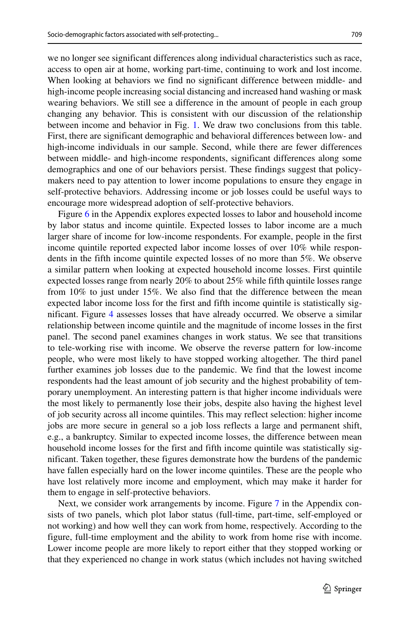we no longer see significant differences along individual characteristics such as race, access to open air at home, working part-time, continuing to work and lost income. When looking at behaviors we find no significant difference between middle- and high-income people increasing social distancing and increased hand washing or mask wearing behaviors. We still see a difference in the amount of people in each group changing any behavior. This is consistent with our discussion of the relationship between income and behavior in Fig. [1.](#page-3-0) We draw two conclusions from this table. First, there are significant demographic and behavioral differences between low- and high-income individuals in our sample. Second, while there are fewer differences between middle- and high-income respondents, significant differences along some demographics and one of our behaviors persist. These findings suggest that policymakers need to pay attention to lower income populations to ensure they engage in self-protective behaviors. Addressing income or job losses could be useful ways to encourage more widespread adoption of self-protective behaviors.

Figure 6 in the Appendix explores expected losses to labor and household income by labor status and income quintile. Expected losses to labor income are a much larger share of income for low-income respondents. For example, people in the first income quintile reported expected labor income losses of over 10% while respondents in the fifth income quintile expected losses of no more than 5%. We observe a similar pattern when looking at expected household income losses. First quintile expected losses range from nearly 20% to about 25% while fifth quintile losses range from 10% to just under 15%. We also find that the difference between the mean expected labor income loss for the first and fifth income quintile is statistically significant. Figure [4](#page-19-0) assesses losses that have already occurred. We observe a similar relationship between income quintile and the magnitude of income losses in the first panel. The second panel examines changes in work status. We see that transitions to tele-working rise with income. We observe the reverse pattern for low-income people, who were most likely to have stopped working altogether. The third panel further examines job losses due to the pandemic. We find that the lowest income respondents had the least amount of job security and the highest probability of temporary unemployment. An interesting pattern is that higher income individuals were the most likely to permanently lose their jobs, despite also having the highest level of job security across all income quintiles. This may reflect selection: higher income jobs are more secure in general so a job loss reflects a large and permanent shift, e.g., a bankruptcy. Similar to expected income losses, the difference between mean household income losses for the first and fifth income quintile was statistically significant. Taken together, these figures demonstrate how the burdens of the pandemic have fallen especially hard on the lower income quintiles. These are the people who have lost relatively more income and employment, which may make it harder for them to engage in self-protective behaviors.

Next, we consider work arrangements by income. Figure 7 in the Appendix consists of two panels, which plot labor status (full-time, part-time, self-employed or not working) and how well they can work from home, respectively. According to the figure, full-time employment and the ability to work from home rise with income. Lower income people are more likely to report either that they stopped working or that they experienced no change in work status (which includes not having switched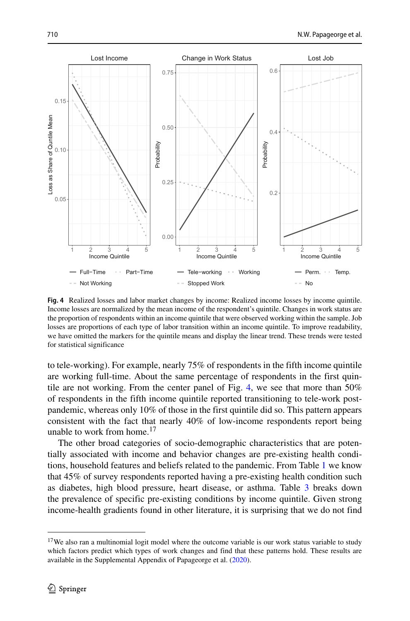<span id="page-19-0"></span>

**Fig. 4** Realized losses and labor market changes by income: Realized income losses by income quintile. Income losses are normalized by the mean income of the respondent's quintile. Changes in work status are the proportion of respondents within an income quintile that were observed working within the sample. Job losses are proportions of each type of labor transition within an income quintile. To improve readability, we have omitted the markers for the quintile means and display the linear trend. These trends were tested for statistical significance

to tele-working). For example, nearly 75% of respondents in the fifth income quintile are working full-time. About the same percentage of respondents in the first quintile are not working. From the center panel of Fig. [4,](#page-19-0) we see that more than 50% of respondents in the fifth income quintile reported transitioning to tele-work postpandemic, whereas only 10% of those in the first quintile did so. This pattern appears consistent with the fact that nearly 40% of low-income respondents report being unable to work from home.<sup>[17](#page-19-1)</sup>

The other broad categories of socio-demographic characteristics that are potentially associated with income and behavior changes are pre-existing health conditions, household features and beliefs related to the pandemic. From Table [1](#page-11-0) we know that 45% of survey respondents reported having a pre-existing health condition such as diabetes, high blood pressure, heart disease, or asthma. Table [3](#page-20-0) breaks down the prevalence of specific pre-existing conditions by income quintile. Given strong income-health gradients found in other literature, it is surprising that we do not find

<span id="page-19-1"></span><sup>&</sup>lt;sup>17</sup>We also ran a multinomial logit model where the outcome variable is our work status variable to study which factors predict which types of work changes and find that these patterns hold. These results are available in the Supplemental Appendix of Papageorge et al. [\(2020\)](#page-46-20).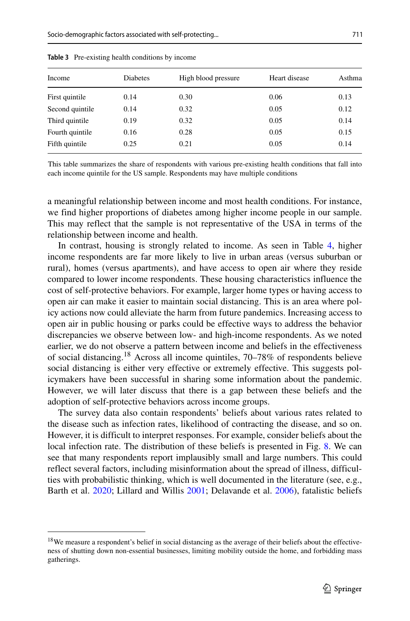| Income          | <b>Diabetes</b> | High blood pressure | Heart disease | Asthma |
|-----------------|-----------------|---------------------|---------------|--------|
| First quintile  | 0.14            | 0.30                | 0.06          | 0.13   |
| Second quintile | 0.14            | 0.32                | 0.05          | 0.12   |
| Third quintile  | 0.19            | 0.32                | 0.05          | 0.14   |
| Fourth quintile | 0.16            | 0.28                | 0.05          | 0.15   |
| Fifth quintile  | 0.25            | 0.21                | 0.05          | 0.14   |

<span id="page-20-0"></span>**Table 3** Pre-existing health conditions by income

This table summarizes the share of respondents with various pre-existing health conditions that fall into each income quintile for the US sample. Respondents may have multiple conditions

a meaningful relationship between income and most health conditions. For instance, we find higher proportions of diabetes among higher income people in our sample. This may reflect that the sample is not representative of the USA in terms of the relationship between income and health.

In contrast, housing is strongly related to income. As seen in Table [4,](#page-21-0) higher income respondents are far more likely to live in urban areas (versus suburban or rural), homes (versus apartments), and have access to open air where they reside compared to lower income respondents. These housing characteristics influence the cost of self-protective behaviors. For example, larger home types or having access to open air can make it easier to maintain social distancing. This is an area where policy actions now could alleviate the harm from future pandemics. Increasing access to open air in public housing or parks could be effective ways to address the behavior discrepancies we observe between low- and high-income respondents. As we noted earlier, we do not observe a pattern between income and beliefs in the effectiveness of social distancing[.18](#page-20-1) Across all income quintiles, 70–78% of respondents believe social distancing is either very effective or extremely effective. This suggests policymakers have been successful in sharing some information about the pandemic. However, we will later discuss that there is a gap between these beliefs and the adoption of self-protective behaviors across income groups.

The survey data also contain respondents' beliefs about various rates related to the disease such as infection rates, likelihood of contracting the disease, and so on. However, it is difficult to interpret responses. For example, consider beliefs about the local infection rate. The distribution of these beliefs is presented in Fig. [8.](#page-34-0) We can see that many respondents report implausibly small and large numbers. This could reflect several factors, including misinformation about the spread of illness, difficulties with probabilistic thinking, which is well documented in the literature (see, e.g., Barth et al. [2020;](#page-45-22) Lillard and Willis [2001;](#page-46-21) Delavande et al. [2006\)](#page-45-23), fatalistic beliefs

<span id="page-20-1"></span><sup>&</sup>lt;sup>18</sup>We measure a respondent's belief in social distancing as the average of their beliefs about the effectiveness of shutting down non-essential businesses, limiting mobility outside the home, and forbidding mass gatherings.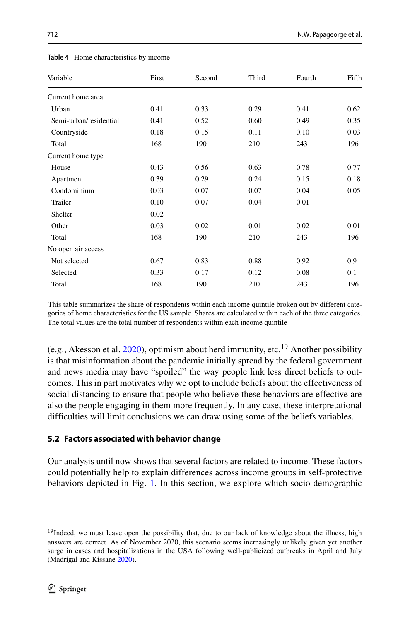<span id="page-21-0"></span>

| <b>Table 4</b> Home characteristics by income |       |        |       |        |       |  |  |  |  |  |
|-----------------------------------------------|-------|--------|-------|--------|-------|--|--|--|--|--|
| Variable                                      | First | Second | Third | Fourth | Fifth |  |  |  |  |  |
| Current home area                             |       |        |       |        |       |  |  |  |  |  |
| Urban                                         | 0.41  | 0.33   | 0.29  | 0.41   | 0.62  |  |  |  |  |  |

| Urban                  | 0.41 | 0.33 | 0.29 | 0.41 | 0.62 |
|------------------------|------|------|------|------|------|
| Semi-urban/residential | 0.41 | 0.52 | 0.60 | 0.49 | 0.35 |
| Countryside            | 0.18 | 0.15 | 0.11 | 0.10 | 0.03 |
| Total                  | 168  | 190  | 210  | 243  | 196  |
| Current home type      |      |      |      |      |      |
| House                  | 0.43 | 0.56 | 0.63 | 0.78 | 0.77 |
| Apartment              | 0.39 | 0.29 | 0.24 | 0.15 | 0.18 |
| Condominium            | 0.03 | 0.07 | 0.07 | 0.04 | 0.05 |
| Trailer                | 0.10 | 0.07 | 0.04 | 0.01 |      |
| Shelter                | 0.02 |      |      |      |      |
| Other                  | 0.03 | 0.02 | 0.01 | 0.02 | 0.01 |
| Total                  | 168  | 190  | 210  | 243  | 196  |
| No open air access     |      |      |      |      |      |
| Not selected           | 0.67 | 0.83 | 0.88 | 0.92 | 0.9  |
| Selected               | 0.33 | 0.17 | 0.12 | 0.08 | 0.1  |
| Total                  | 168  | 190  | 210  | 243  | 196  |
|                        |      |      |      |      |      |

This table summarizes the share of respondents within each income quintile broken out by different categories of home characteristics for the US sample. Shares are calculated within each of the three categories. The total values are the total number of respondents within each income quintile

(e.g., Akesson et al.  $2020$ ), optimism about herd immunity, etc.<sup>19</sup> Another possibility is that misinformation about the pandemic initially spread by the federal government and news media may have "spoiled" the way people link less direct beliefs to outcomes. This in part motivates why we opt to include beliefs about the effectiveness of social distancing to ensure that people who believe these behaviors are effective are also the people engaging in them more frequently. In any case, these interpretational difficulties will limit conclusions we can draw using some of the beliefs variables.

## **5.2 Factors associated with behavior change**

Our analysis until now shows that several factors are related to income. These factors could potentially help to explain differences across income groups in self-protective behaviors depicted in Fig. [1.](#page-3-0) In this section, we explore which socio-demographic

<span id="page-21-1"></span><sup>&</sup>lt;sup>19</sup>Indeed, we must leave open the possibility that, due to our lack of knowledge about the illness, high answers are correct. As of November 2020, this scenario seems increasingly unlikely given yet another surge in cases and hospitalizations in the USA following well-publicized outbreaks in April and July (Madrigal and Kissane [2020\)](#page-46-22).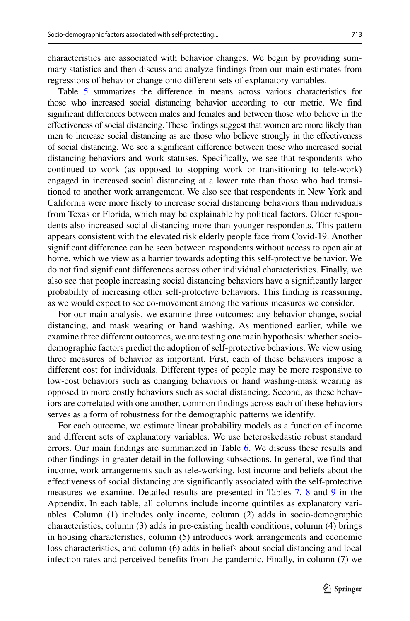characteristics are associated with behavior changes. We begin by providing summary statistics and then discuss and analyze findings from our main estimates from regressions of behavior change onto different sets of explanatory variables.

Table [5](#page-23-0) summarizes the difference in means across various characteristics for those who increased social distancing behavior according to our metric. We find significant differences between males and females and between those who believe in the effectiveness of social distancing. These findings suggest that women are more likely than men to increase social distancing as are those who believe strongly in the effectiveness of social distancing. We see a significant difference between those who increased social distancing behaviors and work statuses. Specifically, we see that respondents who continued to work (as opposed to stopping work or transitioning to tele-work) engaged in increased social distancing at a lower rate than those who had transitioned to another work arrangement. We also see that respondents in New York and California were more likely to increase social distancing behaviors than individuals from Texas or Florida, which may be explainable by political factors. Older respondents also increased social distancing more than younger respondents. This pattern appears consistent with the elevated risk elderly people face from Covid-19. Another significant difference can be seen between respondents without access to open air at home, which we view as a barrier towards adopting this self-protective behavior. We do not find significant differences across other individual characteristics. Finally, we also see that people increasing social distancing behaviors have a significantly larger probability of increasing other self-protective behaviors. This finding is reassuring, as we would expect to see co-movement among the various measures we consider.

For our main analysis, we examine three outcomes: any behavior change, social distancing, and mask wearing or hand washing. As mentioned earlier, while we examine three different outcomes, we are testing one main hypothesis: whether sociodemographic factors predict the adoption of self-protective behaviors. We view using three measures of behavior as important. First, each of these behaviors impose a different cost for individuals. Different types of people may be more responsive to low-cost behaviors such as changing behaviors or hand washing-mask wearing as opposed to more costly behaviors such as social distancing. Second, as these behaviors are correlated with one another, common findings across each of these behaviors serves as a form of robustness for the demographic patterns we identify.

For each outcome, we estimate linear probability models as a function of income and different sets of explanatory variables. We use heteroskedastic robust standard errors. Our main findings are summarized in Table [6.](#page-24-0) We discuss these results and other findings in greater detail in the following subsections. In general, we find that income, work arrangements such as tele-working, lost income and beliefs about the effectiveness of social distancing are significantly associated with the self-protective measures we examine. Detailed results are presented in Tables 7, 8 and 9 in the Appendix. In each table, all columns include income quintiles as explanatory variables. Column (1) includes only income, column (2) adds in socio-demographic characteristics, column (3) adds in pre-existing health conditions, column (4) brings in housing characteristics, column (5) introduces work arrangements and economic loss characteristics, and column (6) adds in beliefs about social distancing and local infection rates and perceived benefits from the pandemic. Finally, in column (7) we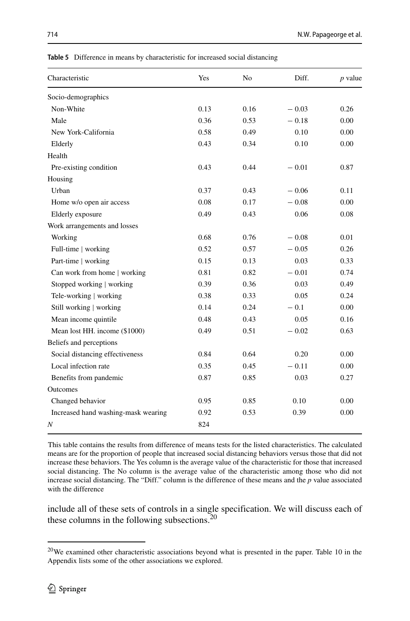| Characteristic                      | Yes  | N <sub>0</sub> | Diff.   | $p$ value |
|-------------------------------------|------|----------------|---------|-----------|
| Socio-demographics                  |      |                |         |           |
| Non-White                           | 0.13 | 0.16           | $-0.03$ | 0.26      |
| Male                                | 0.36 | 0.53           | $-0.18$ | 0.00      |
| New York-California                 | 0.58 | 0.49           | 0.10    | 0.00      |
| Elderly                             | 0.43 | 0.34           | 0.10    | 0.00      |
| Health                              |      |                |         |           |
| Pre-existing condition              | 0.43 | 0.44           | $-0.01$ | 0.87      |
| Housing                             |      |                |         |           |
| Urban                               | 0.37 | 0.43           | $-0.06$ | 0.11      |
| Home w/o open air access            | 0.08 | 0.17           | $-0.08$ | 0.00      |
| Elderly exposure                    | 0.49 | 0.43           | 0.06    | 0.08      |
| Work arrangements and losses        |      |                |         |           |
| Working                             | 0.68 | 0.76           | $-0.08$ | 0.01      |
| Full-time   working                 | 0.52 | 0.57           | $-0.05$ | 0.26      |
| Part-time   working                 | 0.15 | 0.13           | 0.03    | 0.33      |
| Can work from home   working        | 0.81 | 0.82           | $-0.01$ | 0.74      |
| Stopped working   working           | 0.39 | 0.36           | 0.03    | 0.49      |
| Tele-working   working              | 0.38 | 0.33           | 0.05    | 0.24      |
| Still working   working             | 0.14 | 0.24           | $-0.1$  | 0.00      |
| Mean income quintile                | 0.48 | 0.43           | 0.05    | 0.16      |
| Mean lost HH. income (\$1000)       | 0.49 | 0.51           | $-0.02$ | 0.63      |
| Beliefs and perceptions             |      |                |         |           |
| Social distancing effectiveness     | 0.84 | 0.64           | 0.20    | 0.00      |
| Local infection rate                | 0.35 | 0.45           | $-0.11$ | 0.00      |
| Benefits from pandemic              | 0.87 | 0.85           | 0.03    | 0.27      |
| <b>Outcomes</b>                     |      |                |         |           |
| Changed behavior                    | 0.95 | 0.85           | 0.10    | 0.00      |
| Increased hand washing-mask wearing | 0.92 | 0.53           | 0.39    | 0.00      |
| Ν                                   | 824  |                |         |           |

<span id="page-23-0"></span>**Table 5** Difference in means by characteristic for increased social distancing

This table contains the results from difference of means tests for the listed characteristics. The calculated means are for the proportion of people that increased social distancing behaviors versus those that did not increase these behaviors. The Yes column is the average value of the characteristic for those that increased social distancing. The No column is the average value of the characteristic among those who did not increase social distancing. The "Diff." column is the difference of these means and the *p* value associated with the difference

include all of these sets of controls in a single specification. We will discuss each of these columns in the following subsections.<sup>[20](#page-23-1)</sup>

<span id="page-23-1"></span><sup>&</sup>lt;sup>20</sup>We examined other characteristic associations beyond what is presented in the paper. Table 10 in the Appendix lists some of the other associations we explored.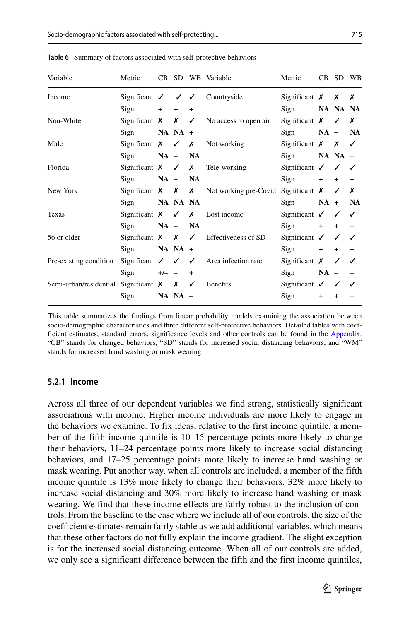| Significant $X \times X$                                                |
|-------------------------------------------------------------------------|
| Sign <b>NA NA NA</b>                                                    |
| Significant $X \times X$                                                |
| Sign NA - NA                                                            |
| Significant $X \times Y$                                                |
| $Sign$ NA NA +                                                          |
| Significant $\checkmark$ $\checkmark$ $\checkmark$                      |
| $+$                                                                     |
| Significant $X \times X$ Not working pre-Covid Significant $X \times X$ |
| $Sign$ $NA + NA$                                                        |
| Significant $\checkmark$ $\checkmark$ $\checkmark$                      |
| $Sign$ + + +                                                            |
| Significant $\checkmark$ $\checkmark$ $\checkmark$                      |
| $\ddot{}$                                                               |
| Significant $X \quad V \quad V$                                         |
| Sign $NA - -$                                                           |
| Significant $\checkmark$ $\checkmark$ $\checkmark$                      |
| $\ddot{}$                                                               |
| $Sign + +$<br>$Sign + +$                                                |

<span id="page-24-0"></span>**Table 6** Summary of factors associated with self-protective behaviors

This table summarizes the findings from linear probability models examining the association between socio-demographic characteristics and three different self-protective behaviors. Detailed tables with coefficient estimates, standard errors, significance levels and other controls can be found in the Appendix. "CB" stands for changed behaviors, "SD" stands for increased social distancing behaviors, and "WM" stands for increased hand washing or mask wearing

#### **5.2.1 Income**

Across all three of our dependent variables we find strong, statistically significant associations with income. Higher income individuals are more likely to engage in the behaviors we examine. To fix ideas, relative to the first income quintile, a member of the fifth income quintile is 10–15 percentage points more likely to change their behaviors, 11–24 percentage points more likely to increase social distancing behaviors, and 17–25 percentage points more likely to increase hand washing or mask wearing. Put another way, when all controls are included, a member of the fifth income quintile is 13% more likely to change their behaviors, 32% more likely to increase social distancing and 30% more likely to increase hand washing or mask wearing. We find that these income effects are fairly robust to the inclusion of controls. From the baseline to the case where we include all of our controls, the size of the coefficient estimates remain fairly stable as we add additional variables, which means that these other factors do not fully explain the income gradient. The slight exception is for the increased social distancing outcome. When all of our controls are added, we only see a significant difference between the fifth and the first income quintiles,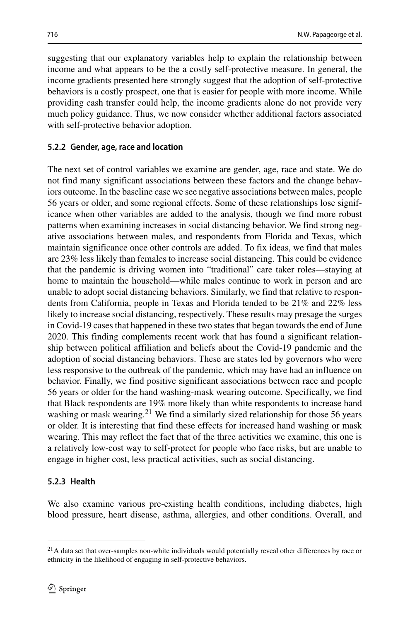suggesting that our explanatory variables help to explain the relationship between income and what appears to be the a costly self-protective measure. In general, the income gradients presented here strongly suggest that the adoption of self-protective behaviors is a costly prospect, one that is easier for people with more income. While providing cash transfer could help, the income gradients alone do not provide very much policy guidance. Thus, we now consider whether additional factors associated with self-protective behavior adoption.

#### **5.2.2 Gender, age, race and location**

The next set of control variables we examine are gender, age, race and state. We do not find many significant associations between these factors and the change behaviors outcome. In the baseline case we see negative associations between males, people 56 years or older, and some regional effects. Some of these relationships lose significance when other variables are added to the analysis, though we find more robust patterns when examining increases in social distancing behavior. We find strong negative associations between males, and respondents from Florida and Texas, which maintain significance once other controls are added. To fix ideas, we find that males are 23% less likely than females to increase social distancing. This could be evidence that the pandemic is driving women into "traditional" care taker roles—staying at home to maintain the household—while males continue to work in person and are unable to adopt social distancing behaviors. Similarly, we find that relative to respondents from California, people in Texas and Florida tended to be 21% and 22% less likely to increase social distancing, respectively. These results may presage the surges in Covid-19 cases that happened in these two states that began towards the end of June 2020. This finding complements recent work that has found a significant relationship between political affiliation and beliefs about the Covid-19 pandemic and the adoption of social distancing behaviors. These are states led by governors who were less responsive to the outbreak of the pandemic, which may have had an influence on behavior. Finally, we find positive significant associations between race and people 56 years or older for the hand washing-mask wearing outcome. Specifically, we find that Black respondents are 19% more likely than white respondents to increase hand washing or mask wearing.<sup>21</sup> We find a similarly sized relationship for those 56 years or older. It is interesting that find these effects for increased hand washing or mask wearing. This may reflect the fact that of the three activities we examine, this one is a relatively low-cost way to self-protect for people who face risks, but are unable to engage in higher cost, less practical activities, such as social distancing.

#### **5.2.3 Health**

We also examine various pre-existing health conditions, including diabetes, high blood pressure, heart disease, asthma, allergies, and other conditions. Overall, and

<span id="page-25-0"></span><sup>&</sup>lt;sup>21</sup>A data set that over-samples non-white individuals would potentially reveal other differences by race or ethnicity in the likelihood of engaging in self-protective behaviors.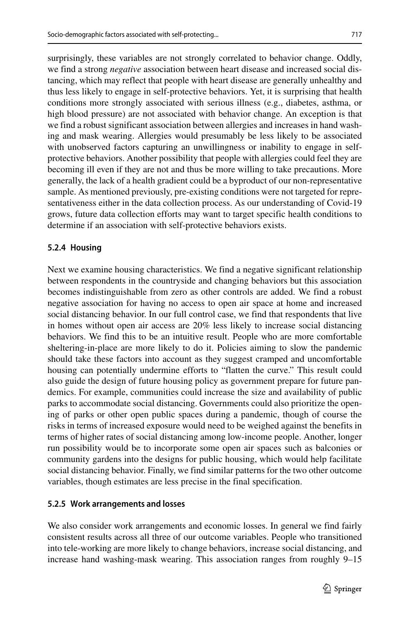surprisingly, these variables are not strongly correlated to behavior change. Oddly, we find a strong *negative* association between heart disease and increased social distancing, which may reflect that people with heart disease are generally unhealthy and thus less likely to engage in self-protective behaviors. Yet, it is surprising that health conditions more strongly associated with serious illness (e.g., diabetes, asthma, or high blood pressure) are not associated with behavior change. An exception is that we find a robust significant association between allergies and increases in hand washing and mask wearing. Allergies would presumably be less likely to be associated with unobserved factors capturing an unwillingness or inability to engage in selfprotective behaviors. Another possibility that people with allergies could feel they are becoming ill even if they are not and thus be more willing to take precautions. More generally, the lack of a health gradient could be a byproduct of our non-representative sample. As mentioned previously, pre-existing conditions were not targeted for representativeness either in the data collection process. As our understanding of Covid-19 grows, future data collection efforts may want to target specific health conditions to determine if an association with self-protective behaviors exists.

## **5.2.4 Housing**

Next we examine housing characteristics. We find a negative significant relationship between respondents in the countryside and changing behaviors but this association becomes indistinguishable from zero as other controls are added. We find a robust negative association for having no access to open air space at home and increased social distancing behavior. In our full control case, we find that respondents that live in homes without open air access are 20% less likely to increase social distancing behaviors. We find this to be an intuitive result. People who are more comfortable sheltering-in-place are more likely to do it. Policies aiming to slow the pandemic should take these factors into account as they suggest cramped and uncomfortable housing can potentially undermine efforts to "flatten the curve." This result could also guide the design of future housing policy as government prepare for future pandemics. For example, communities could increase the size and availability of public parks to accommodate social distancing. Governments could also prioritize the opening of parks or other open public spaces during a pandemic, though of course the risks in terms of increased exposure would need to be weighed against the benefits in terms of higher rates of social distancing among low-income people. Another, longer run possibility would be to incorporate some open air spaces such as balconies or community gardens into the designs for public housing, which would help facilitate social distancing behavior. Finally, we find similar patterns for the two other outcome variables, though estimates are less precise in the final specification.

#### **5.2.5 Work arrangements and losses**

We also consider work arrangements and economic losses. In general we find fairly consistent results across all three of our outcome variables. People who transitioned into tele-working are more likely to change behaviors, increase social distancing, and increase hand washing-mask wearing. This association ranges from roughly 9–15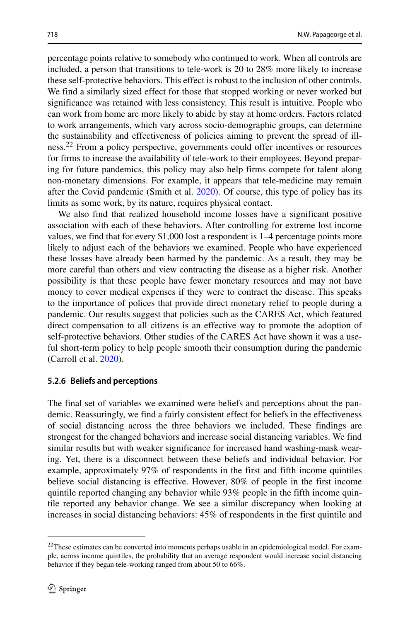percentage points relative to somebody who continued to work. When all controls are included, a person that transitions to tele-work is 20 to 28% more likely to increase these self-protective behaviors. This effect is robust to the inclusion of other controls. We find a similarly sized effect for those that stopped working or never worked but significance was retained with less consistency. This result is intuitive. People who can work from home are more likely to abide by stay at home orders. Factors related to work arrangements, which vary across socio-demographic groups, can determine the sustainability and effectiveness of policies aiming to prevent the spread of ill-ness.<sup>[22](#page-27-0)</sup> From a policy perspective, governments could offer incentives or resources for firms to increase the availability of tele-work to their employees. Beyond preparing for future pandemics, this policy may also help firms compete for talent along non-monetary dimensions. For example, it appears that tele-medicine may remain after the Covid pandemic (Smith et al. [2020\)](#page-46-23). Of course, this type of policy has its limits as some work, by its nature, requires physical contact.

We also find that realized household income losses have a significant positive association with each of these behaviors. After controlling for extreme lost income values, we find that for every \$1,000 lost a respondent is 1–4 percentage points more likely to adjust each of the behaviors we examined. People who have experienced these losses have already been harmed by the pandemic. As a result, they may be more careful than others and view contracting the disease as a higher risk. Another possibility is that these people have fewer monetary resources and may not have money to cover medical expenses if they were to contract the disease. This speaks to the importance of polices that provide direct monetary relief to people during a pandemic. Our results suggest that policies such as the CARES Act, which featured direct compensation to all citizens is an effective way to promote the adoption of self-protective behaviors. Other studies of the CARES Act have shown it was a useful short-term policy to help people smooth their consumption during the pandemic (Carroll et al. [2020\)](#page-45-24).

#### **5.2.6 Beliefs and perceptions**

The final set of variables we examined were beliefs and perceptions about the pandemic. Reassuringly, we find a fairly consistent effect for beliefs in the effectiveness of social distancing across the three behaviors we included. These findings are strongest for the changed behaviors and increase social distancing variables. We find similar results but with weaker significance for increased hand washing-mask wearing. Yet, there is a disconnect between these beliefs and individual behavior. For example, approximately 97% of respondents in the first and fifth income quintiles believe social distancing is effective. However, 80% of people in the first income quintile reported changing any behavior while 93% people in the fifth income quintile reported any behavior change. We see a similar discrepancy when looking at increases in social distancing behaviors: 45% of respondents in the first quintile and

<span id="page-27-0"></span><sup>&</sup>lt;sup>22</sup>These estimates can be converted into moments perhaps usable in an epidemiological model. For example, across income quintiles, the probability that an average respondent would increase social distancing behavior if they began tele-working ranged from about 50 to 66%.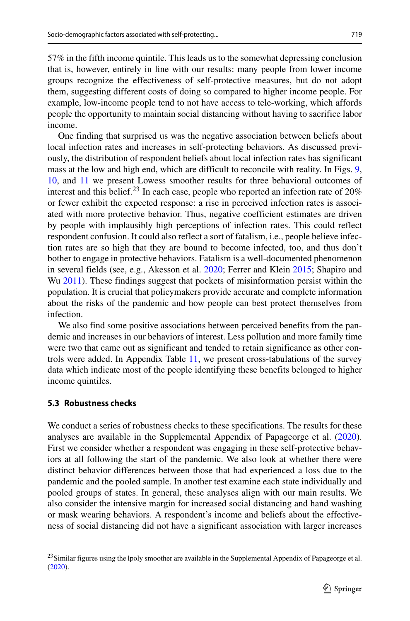57% in the fifth income quintile. This leads us to the somewhat depressing conclusion that is, however, entirely in line with our results: many people from lower income groups recognize the effectiveness of self-protective measures, but do not adopt them, suggesting different costs of doing so compared to higher income people. For example, low-income people tend to not have access to tele-working, which affords people the opportunity to maintain social distancing without having to sacrifice labor income.

One finding that surprised us was the negative association between beliefs about local infection rates and increases in self-protecting behaviors. As discussed previously, the distribution of respondent beliefs about local infection rates has significant mass at the low and high end, which are difficult to reconcile with reality. In Figs. [9,](#page-34-1) [10,](#page-35-0) and [11](#page-35-1) we present Lowess smoother results for three behavioral outcomes of interest and this belief.<sup>[23](#page-28-0)</sup> In each case, people who reported an infection rate of  $20\%$ or fewer exhibit the expected response: a rise in perceived infection rates is associated with more protective behavior. Thus, negative coefficient estimates are driven by people with implausibly high perceptions of infection rates. This could reflect respondent confusion. It could also reflect a sort of fatalism, i.e., people believe infection rates are so high that they are bound to become infected, too, and thus don't bother to engage in protective behaviors. Fatalism is a well-documented phenomenon in several fields (see, e.g., Akesson et al. [2020;](#page-44-10) Ferrer and Klein [2015;](#page-45-25) Shapiro and Wu [2011\)](#page-46-24). These findings suggest that pockets of misinformation persist within the population. It is crucial that policymakers provide accurate and complete information about the risks of the pandemic and how people can best protect themselves from infection.

We also find some positive associations between perceived benefits from the pandemic and increases in our behaviors of interest. Less pollution and more family time were two that came out as significant and tended to retain significance as other controls were added. In Appendix Table [11,](#page-44-11) we present cross-tabulations of the survey data which indicate most of the people identifying these benefits belonged to higher income quintiles.

### **5.3 Robustness checks**

We conduct a series of robustness checks to these specifications. The results for these analyses are available in the Supplemental Appendix of Papageorge et al. [\(2020\)](#page-46-20). First we consider whether a respondent was engaging in these self-protective behaviors at all following the start of the pandemic. We also look at whether there were distinct behavior differences between those that had experienced a loss due to the pandemic and the pooled sample. In another test examine each state individually and pooled groups of states. In general, these analyses align with our main results. We also consider the intensive margin for increased social distancing and hand washing or mask wearing behaviors. A respondent's income and beliefs about the effectiveness of social distancing did not have a significant association with larger increases

<span id="page-28-0"></span><sup>&</sup>lt;sup>23</sup> Similar figures using the lpoly smoother are available in the Supplemental Appendix of Papageorge et al. [\(2020\)](#page-46-20).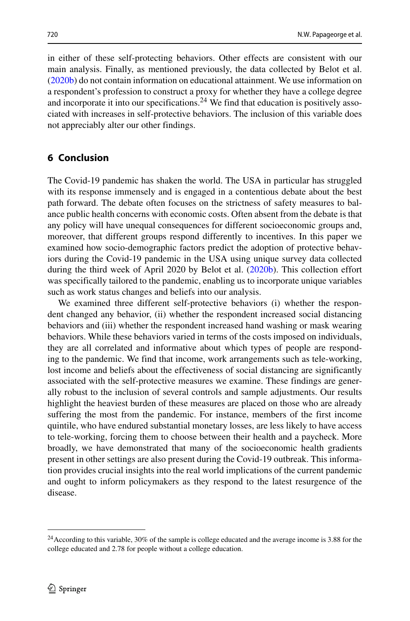in either of these self-protecting behaviors. Other effects are consistent with our main analysis. Finally, as mentioned previously, the data collected by Belot et al. [\(2020b\)](#page-45-5) do not contain information on educational attainment. We use information on a respondent's profession to construct a proxy for whether they have a college degree and incorporate it into our specifications.<sup>24</sup> We find that education is positively associated with increases in self-protective behaviors. The inclusion of this variable does not appreciably alter our other findings.

## <span id="page-29-0"></span>**6 Conclusion**

The Covid-19 pandemic has shaken the world. The USA in particular has struggled with its response immensely and is engaged in a contentious debate about the best path forward. The debate often focuses on the strictness of safety measures to balance public health concerns with economic costs. Often absent from the debate is that any policy will have unequal consequences for different socioeconomic groups and, moreover, that different groups respond differently to incentives. In this paper we examined how socio-demographic factors predict the adoption of protective behaviors during the Covid-19 pandemic in the USA using unique survey data collected during the third week of April 2020 by Belot et al. [\(2020b\)](#page-45-5). This collection effort was specifically tailored to the pandemic, enabling us to incorporate unique variables such as work status changes and beliefs into our analysis.

We examined three different self-protective behaviors (i) whether the respondent changed any behavior, (ii) whether the respondent increased social distancing behaviors and (iii) whether the respondent increased hand washing or mask wearing behaviors. While these behaviors varied in terms of the costs imposed on individuals, they are all correlated and informative about which types of people are responding to the pandemic. We find that income, work arrangements such as tele-working, lost income and beliefs about the effectiveness of social distancing are significantly associated with the self-protective measures we examine. These findings are generally robust to the inclusion of several controls and sample adjustments. Our results highlight the heaviest burden of these measures are placed on those who are already suffering the most from the pandemic. For instance, members of the first income quintile, who have endured substantial monetary losses, are less likely to have access to tele-working, forcing them to choose between their health and a paycheck. More broadly, we have demonstrated that many of the socioeconomic health gradients present in other settings are also present during the Covid-19 outbreak. This information provides crucial insights into the real world implications of the current pandemic and ought to inform policymakers as they respond to the latest resurgence of the disease.

<span id="page-29-1"></span><sup>&</sup>lt;sup>24</sup> According to this variable, 30% of the sample is college educated and the average income is 3.88 for the college educated and 2.78 for people without a college education.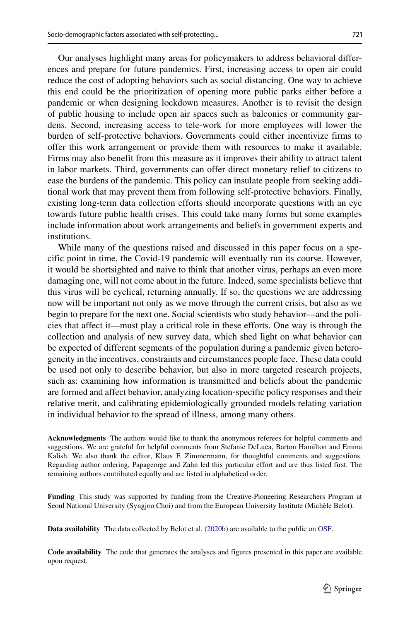Our analyses highlight many areas for policymakers to address behavioral differences and prepare for future pandemics. First, increasing access to open air could reduce the cost of adopting behaviors such as social distancing. One way to achieve this end could be the prioritization of opening more public parks either before a pandemic or when designing lockdown measures. Another is to revisit the design of public housing to include open air spaces such as balconies or community gardens. Second, increasing access to tele-work for more employees will lower the burden of self-protective behaviors. Governments could either incentivize firms to offer this work arrangement or provide them with resources to make it available. Firms may also benefit from this measure as it improves their ability to attract talent in labor markets. Third, governments can offer direct monetary relief to citizens to ease the burdens of the pandemic. This policy can insulate people from seeking additional work that may prevent them from following self-protective behaviors. Finally, existing long-term data collection efforts should incorporate questions with an eye towards future public health crises. This could take many forms but some examples include information about work arrangements and beliefs in government experts and institutions.

While many of the questions raised and discussed in this paper focus on a specific point in time, the Covid-19 pandemic will eventually run its course. However, it would be shortsighted and naive to think that another virus, perhaps an even more damaging one, will not come about in the future. Indeed, some specialists believe that this virus will be cyclical, returning annually. If so, the questions we are addressing now will be important not only as we move through the current crisis, but also as we begin to prepare for the next one. Social scientists who study behavior—and the policies that affect it—must play a critical role in these efforts. One way is through the collection and analysis of new survey data, which shed light on what behavior can be expected of different segments of the population during a pandemic given heterogeneity in the incentives, constraints and circumstances people face. These data could be used not only to describe behavior, but also in more targeted research projects, such as: examining how information is transmitted and beliefs about the pandemic are formed and affect behavior, analyzing location-specific policy responses and their relative merit, and calibrating epidemiologically grounded models relating variation in individual behavior to the spread of illness, among many others.

**Acknowledgments** The authors would like to thank the anonymous referees for helpful comments and suggestions. We are grateful for helpful comments from Stefanie DeLuca, Barton Hamilton and Emma Kalish. We also thank the editor, Klaus F. Zimmermann, for thoughtful comments and suggestions. Regarding author ordering, Papageorge and Zahn led this particular effort and are thus listed first. The remaining authors contributed equally and are listed in alphabetical order.

**Funding** This study was supported by funding from the Creative-Pioneering Researchers Program at Seoul National University (Syngjoo Choi) and from the European University Institute (Michele Belot). `

**Data availability** The data collected by Belot et al. [\(2020b\)](#page-45-5) are available to the public on [OSF.](https://osf.io/aubkc/)

**Code availability** The code that generates the analyses and figures presented in this paper are available upon request.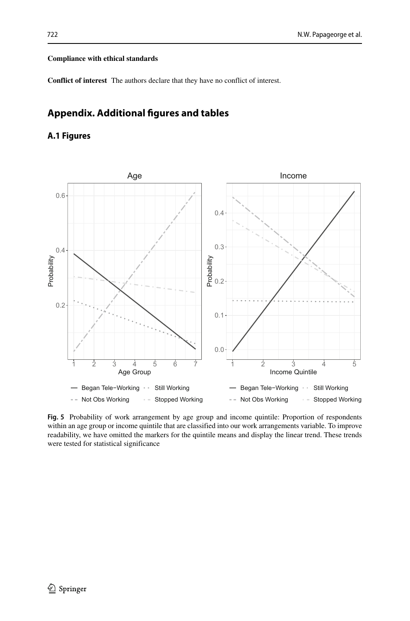#### **Compliance with ethical standards**

**Conflict of interest** The authors declare that they have no conflict of interest.

## **Appendix. Additional figures and tables**

## **A.1 Figures**



**Fig. 5** Probability of work arrangement by age group and income quintile: Proportion of respondents within an age group or income quintile that are classified into our work arrangements variable. To improve readability, we have omitted the markers for the quintile means and display the linear trend. These trends were tested for statistical significance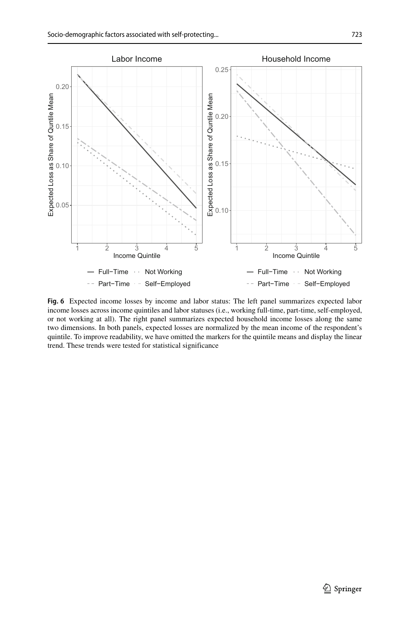

**Fig. 6** Expected income losses by income and labor status: The left panel summarizes expected labor income losses across income quintiles and labor statuses (i.e., working full-time, part-time, self-employed, or not working at all). The right panel summarizes expected household income losses along the same two dimensions. In both panels, expected losses are normalized by the mean income of the respondent's quintile. To improve readability, we have omitted the markers for the quintile means and display the linear trend. These trends were tested for statistical significance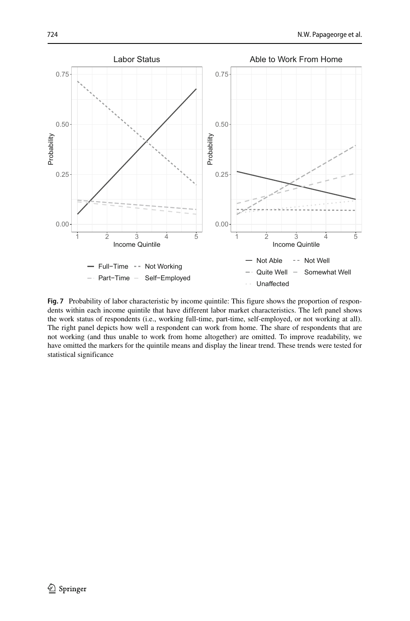

**Fig. 7** Probability of labor characteristic by income quintile: This figure shows the proportion of respondents within each income quintile that have different labor market characteristics. The left panel shows the work status of respondents (i.e., working full-time, part-time, self-employed, or not working at all). The right panel depicts how well a respondent can work from home. The share of respondents that are not working (and thus unable to work from home altogether) are omitted. To improve readability, we have omitted the markers for the quintile means and display the linear trend. These trends were tested for statistical significance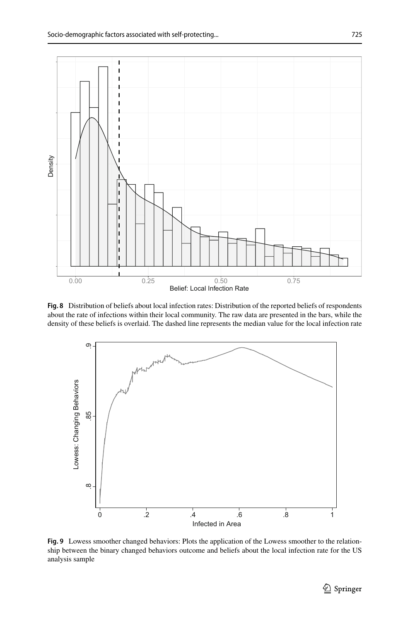<span id="page-34-0"></span>

**Fig. 8** Distribution of beliefs about local infection rates: Distribution of the reported beliefs of respondents about the rate of infections within their local community. The raw data are presented in the bars, while the density of these beliefs is overlaid. The dashed line represents the median value for the local infection rate

<span id="page-34-1"></span>

**Fig. 9** Lowess smoother changed behaviors: Plots the application of the Lowess smoother to the relationship between the binary changed behaviors outcome and beliefs about the local infection rate for the US analysis sample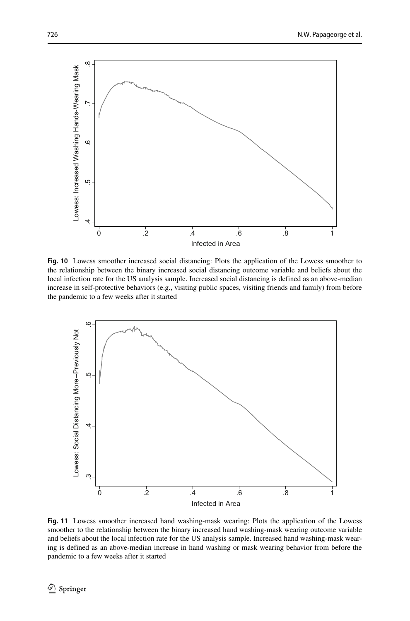<span id="page-35-0"></span>

**Fig. 10** Lowess smoother increased social distancing: Plots the application of the Lowess smoother to the relationship between the binary increased social distancing outcome variable and beliefs about the local infection rate for the US analysis sample. Increased social distancing is defined as an above-median increase in self-protective behaviors (e.g., visiting public spaces, visiting friends and family) from before the pandemic to a few weeks after it started

<span id="page-35-1"></span>

**Fig. 11** Lowess smoother increased hand washing-mask wearing: Plots the application of the Lowess smoother to the relationship between the binary increased hand washing-mask wearing outcome variable and beliefs about the local infection rate for the US analysis sample. Increased hand washing-mask wearing is defined as an above-median increase in hand washing or mask wearing behavior from before the pandemic to a few weeks after it started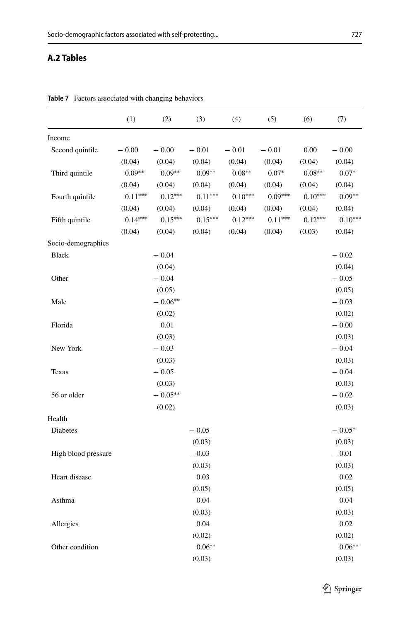## **A.2 Tables**

|                     | (1)       | (2)       | (3)       | (4)       | (5)       | (6)       | (7)       |
|---------------------|-----------|-----------|-----------|-----------|-----------|-----------|-----------|
| Income              |           |           |           |           |           |           |           |
| Second quintile     | $-0.00$   | $-0.00$   | $-0.01$   | $-0.01$   | $-0.01$   | 0.00      | $-0.00$   |
|                     | (0.04)    | (0.04)    | (0.04)    | (0.04)    | (0.04)    | (0.04)    | (0.04)    |
| Third quintile      | $0.09**$  | $0.09**$  | $0.09**$  | $0.08**$  | $0.07*$   | $0.08**$  | $0.07*$   |
|                     | (0.04)    | (0.04)    | (0.04)    | (0.04)    | (0.04)    | (0.04)    | (0.04)    |
| Fourth quintile     | $0.11***$ | $0.12***$ | $0.11***$ | $0.10***$ | $0.09***$ | $0.10***$ | $0.09**$  |
|                     | (0.04)    | (0.04)    | (0.04)    | (0.04)    | (0.04)    | (0.04)    | (0.04)    |
| Fifth quintile      | $0.14***$ | $0.15***$ | $0.15***$ | $0.12***$ | $0.11***$ | $0.12***$ | $0.10***$ |
|                     | (0.04)    | (0.04)    | (0.04)    | (0.04)    | (0.04)    | (0.03)    | (0.04)    |
| Socio-demographics  |           |           |           |           |           |           |           |
| <b>Black</b>        |           | $-0.04$   |           |           |           |           | $-0.02$   |
|                     |           | (0.04)    |           |           |           |           | (0.04)    |
| Other               |           | $-0.04$   |           |           |           |           | $-0.05$   |
|                     |           | (0.05)    |           |           |           |           | (0.05)    |
| Male                |           | $-0.06**$ |           |           |           |           | $-0.03$   |
|                     |           | (0.02)    |           |           |           |           | (0.02)    |
| Florida             |           | 0.01      |           |           |           |           | $-0.00$   |
|                     |           | (0.03)    |           |           |           |           | (0.03)    |
| New York            |           | $-0.03$   |           |           |           |           | $-0.04$   |
|                     |           | (0.03)    |           |           |           |           | (0.03)    |
| Texas               |           | $-0.05$   |           |           |           |           | $-0.04$   |
|                     |           | (0.03)    |           |           |           |           | (0.03)    |
| 56 or older         |           | $-0.05**$ |           |           |           |           | $-0.02$   |
|                     |           | (0.02)    |           |           |           |           | (0.03)    |
| Health              |           |           |           |           |           |           |           |
| Diabetes            |           |           | $-0.05$   |           |           |           | $-0.05*$  |
|                     |           |           | (0.03)    |           |           |           | (0.03)    |
| High blood pressure |           |           | $-0.03$   |           |           |           | $-0.01$   |
|                     |           |           | (0.03)    |           |           |           | (0.03)    |
| Heart disease       |           |           | 0.03      |           |           |           | 0.02      |
|                     |           |           | (0.05)    |           |           |           | (0.05)    |
| Asthma              |           |           | 0.04      |           |           |           | 0.04      |
|                     |           |           | (0.03)    |           |           |           | (0.03)    |
| Allergies           |           |           | 0.04      |           |           |           | 0.02      |
|                     |           |           | (0.02)    |           |           |           | (0.02)    |
| Other condition     |           |           | $0.06**$  |           |           |           | $0.06**$  |
|                     |           |           | (0.03)    |           |           |           | (0.03)    |

**Table 7** Factors associated with changing behaviors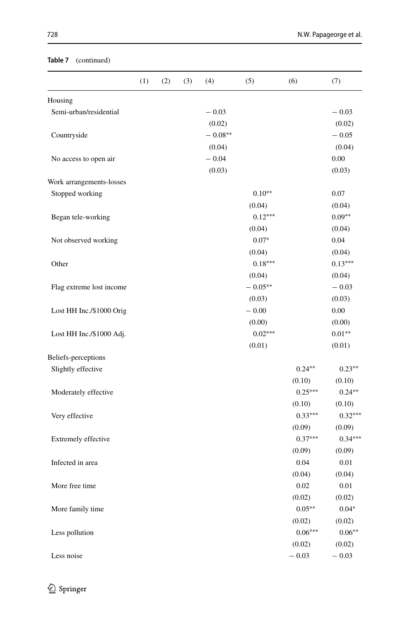## **Table 7** (continued)

|                                   | (1) | (2) | (3) | (4)       | (5)       | (6)       | (7)       |
|-----------------------------------|-----|-----|-----|-----------|-----------|-----------|-----------|
|                                   |     |     |     |           |           |           |           |
| Housing<br>Semi-urban/residential |     |     |     | $-0.03$   |           |           | $-0.03$   |
|                                   |     |     |     | (0.02)    |           |           | (0.02)    |
| Countryside                       |     |     |     | $-0.08**$ |           |           | $-0.05$   |
|                                   |     |     |     | (0.04)    |           |           | (0.04)    |
| No access to open air             |     |     |     | $-0.04$   |           |           | 0.00      |
|                                   |     |     |     | (0.03)    |           |           | (0.03)    |
| Work arrangements-losses          |     |     |     |           |           |           |           |
| Stopped working                   |     |     |     |           | $0.10**$  |           | 0.07      |
|                                   |     |     |     |           | (0.04)    |           | (0.04)    |
| Began tele-working                |     |     |     |           | $0.12***$ |           | $0.09**$  |
|                                   |     |     |     |           | (0.04)    |           | (0.04)    |
| Not observed working              |     |     |     |           | $0.07*$   |           | $0.04\,$  |
|                                   |     |     |     |           | (0.04)    |           | (0.04)    |
| Other                             |     |     |     |           | $0.18***$ |           | $0.13***$ |
|                                   |     |     |     |           | (0.04)    |           | (0.04)    |
| Flag extreme lost income          |     |     |     |           | $-0.05**$ |           | $-0.03$   |
|                                   |     |     |     |           | (0.03)    |           | (0.03)    |
| Lost HH Inc./\$1000 Orig          |     |     |     |           | $-0.00$   |           | 0.00      |
|                                   |     |     |     |           | (0.00)    |           | (0.00)    |
| Lost HH Inc./\$1000 Adj.          |     |     |     |           | $0.02***$ |           | $0.01**$  |
|                                   |     |     |     |           | (0.01)    |           | (0.01)    |
| Beliefs-perceptions               |     |     |     |           |           |           |           |
| Slightly effective                |     |     |     |           |           | $0.24***$ | $0.23**$  |
|                                   |     |     |     |           |           | (0.10)    | (0.10)    |
| Moderately effective              |     |     |     |           |           | $0.25***$ | $0.24**$  |
|                                   |     |     |     |           |           | (0.10)    | (0.10)    |
| Very effective                    |     |     |     |           |           | $0.33***$ | $0.32***$ |
|                                   |     |     |     |           |           | (0.09)    | (0.09)    |
| Extremely effective               |     |     |     |           |           | $0.37***$ | $0.34***$ |
|                                   |     |     |     |           |           | (0.09)    | (0.09)    |
| Infected in area                  |     |     |     |           |           | 0.04      | 0.01      |
|                                   |     |     |     |           |           | (0.04)    | (0.04)    |
| More free time                    |     |     |     |           |           | 0.02      | $0.01\,$  |
|                                   |     |     |     |           |           | (0.02)    | (0.02)    |
| More family time                  |     |     |     |           |           | $0.05**$  | $0.04*$   |
|                                   |     |     |     |           |           | (0.02)    | (0.02)    |
| Less pollution                    |     |     |     |           |           | $0.06***$ | $0.06**$  |
|                                   |     |     |     |           |           | (0.02)    | (0.02)    |
| Less noise                        |     |     |     |           |           | $-0.03$   | $-0.03$   |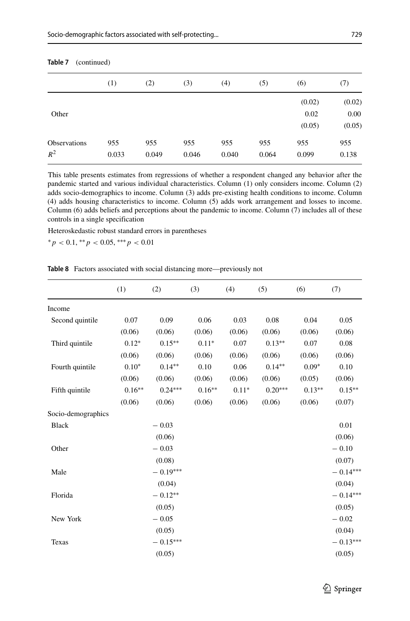| $i$ and $i$ (communical) |       |       |       |       |       |        |        |  |  |
|--------------------------|-------|-------|-------|-------|-------|--------|--------|--|--|
|                          | (1)   | (2)   | (3)   | (4)   | (5)   | (6)    | (7)    |  |  |
|                          |       |       |       |       |       | (0.02) | (0.02) |  |  |
| Other                    |       |       |       |       |       | 0.02   | 0.00   |  |  |
|                          |       |       |       |       |       | (0.05) | (0.05) |  |  |
| <b>Observations</b>      | 955   | 955   | 955   | 955   | 955   | 955    | 955    |  |  |
| $R^2$                    | 0.033 | 0.049 | 0.046 | 0.040 | 0.064 | 0.099  | 0.138  |  |  |
|                          |       |       |       |       |       |        |        |  |  |

**Table 7** (continued)

This table presents estimates from regressions of whether a respondent changed any behavior after the pandemic started and various individual characteristics. Column (1) only considers income. Column (2) adds socio-demographics to income. Column (3) adds pre-existing health conditions to income. Column (4) adds housing characteristics to income. Column (5) adds work arrangement and losses to income. Column (6) adds beliefs and perceptions about the pandemic to income. Column (7) includes all of these controls in a single specification

Heteroskedastic robust standard errors in parentheses

∗*p <* 0.1, ∗∗*p <* 0.05, ∗∗∗*p <* 0.01

**Table 8** Factors associated with social distancing more—previously not

|                    | (1)      | (2)        | (3)      | (4)     | (5)       | (6)      | (7)        |
|--------------------|----------|------------|----------|---------|-----------|----------|------------|
| Income             |          |            |          |         |           |          |            |
| Second quintile    | 0.07     | 0.09       | 0.06     | 0.03    | 0.08      | 0.04     | 0.05       |
|                    | (0.06)   | (0.06)     | (0.06)   | (0.06)  | (0.06)    | (0.06)   | (0.06)     |
| Third quintile     | $0.12*$  | $0.15***$  | $0.11*$  | 0.07    | $0.13**$  | 0.07     | 0.08       |
|                    | (0.06)   | (0.06)     | (0.06)   | (0.06)  | (0.06)    | (0.06)   | (0.06)     |
| Fourth quintile    | $0.10*$  | $0.14**$   | 0.10     | 0.06    | $0.14**$  | $0.09*$  | 0.10       |
|                    | (0.06)   | (0.06)     | (0.06)   | (0.06)  | (0.06)    | (0.05)   | (0.06)     |
| Fifth quintile     | $0.16**$ | $0.24***$  | $0.16**$ | $0.11*$ | $0.20***$ | $0.13**$ | $0.15***$  |
|                    | (0.06)   | (0.06)     | (0.06)   | (0.06)  | (0.06)    | (0.06)   | (0.07)     |
| Socio-demographics |          |            |          |         |           |          |            |
| <b>Black</b>       |          | $-0.03$    |          |         |           |          | 0.01       |
|                    |          | (0.06)     |          |         |           |          | (0.06)     |
| Other              |          | $-0.03$    |          |         |           |          | $-0.10$    |
|                    |          | (0.08)     |          |         |           |          | (0.07)     |
| Male               |          | $-0.19***$ |          |         |           |          | $-0.14***$ |
|                    |          | (0.04)     |          |         |           |          | (0.04)     |
| Florida            |          | $-0.12**$  |          |         |           |          | $-0.14***$ |
|                    |          | (0.05)     |          |         |           |          | (0.05)     |
| New York           |          | $-0.05$    |          |         |           |          | $-0.02$    |
|                    |          | (0.05)     |          |         |           |          | (0.04)     |
| Texas              |          | $-0.15***$ |          |         |           |          | $-0.13***$ |
|                    |          | (0.05)     |          |         |           |          | (0.05)     |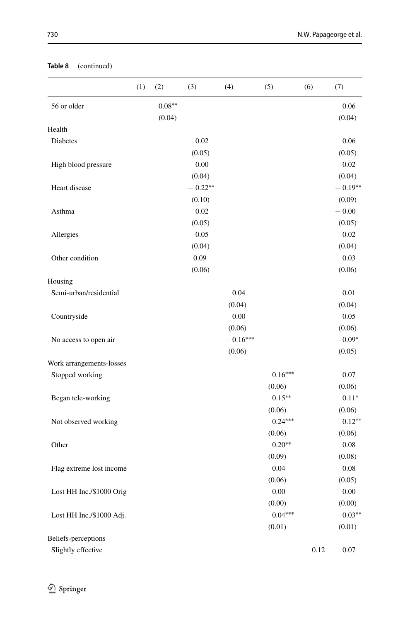|                          | (1) | (2)      | (3)       | (4)        | (5)       | (6)  | (7)       |
|--------------------------|-----|----------|-----------|------------|-----------|------|-----------|
| 56 or older              |     | $0.08**$ |           |            |           |      | 0.06      |
|                          |     | (0.04)   |           |            |           |      | (0.04)    |
| Health                   |     |          |           |            |           |      |           |
| <b>Diabetes</b>          |     |          | 0.02      |            |           |      | 0.06      |
|                          |     |          | (0.05)    |            |           |      | (0.05)    |
| High blood pressure      |     |          | 0.00      |            |           |      | $-0.02$   |
|                          |     |          | (0.04)    |            |           |      | (0.04)    |
| Heart disease            |     |          | $-0.22**$ |            |           |      | $-0.19**$ |
|                          |     |          | (0.10)    |            |           |      | (0.09)    |
| Asthma                   |     |          | 0.02      |            |           |      | $-0.00$   |
|                          |     |          | (0.05)    |            |           |      | (0.05)    |
| Allergies                |     |          | 0.05      |            |           |      | 0.02      |
|                          |     |          | (0.04)    |            |           |      | (0.04)    |
| Other condition          |     |          | 0.09      |            |           |      | 0.03      |
|                          |     |          | (0.06)    |            |           |      | (0.06)    |
| Housing                  |     |          |           |            |           |      |           |
| Semi-urban/residential   |     |          |           | 0.04       |           |      | 0.01      |
|                          |     |          |           | (0.04)     |           |      | (0.04)    |
| Countryside              |     |          |           | $-0.00$    |           |      | $-0.05$   |
|                          |     |          |           | (0.06)     |           |      | (0.06)    |
| No access to open air    |     |          |           | $-0.16***$ |           |      | $-0.09*$  |
|                          |     |          |           | (0.06)     |           |      | (0.05)    |
| Work arrangements-losses |     |          |           |            |           |      |           |
| Stopped working          |     |          |           |            | $0.16***$ |      | 0.07      |
|                          |     |          |           |            | (0.06)    |      | (0.06)    |
| Began tele-working       |     |          |           |            | $0.15***$ |      | $0.11*$   |
|                          |     |          |           |            | (0.06)    |      | (0.06)    |
| Not observed working     |     |          |           |            | $0.24***$ |      | $0.12**$  |
|                          |     |          |           |            | (0.06)    |      | (0.06)    |
| Other                    |     |          |           |            | $0.20**$  |      | 0.08      |
|                          |     |          |           |            | (0.09)    |      | (0.08)    |
| Flag extreme lost income |     |          |           |            | 0.04      |      | 0.08      |
|                          |     |          |           |            | (0.06)    |      | (0.05)    |
| Lost HH Inc./\$1000 Orig |     |          |           |            | $-0.00$   |      | $-0.00$   |
|                          |     |          |           |            | (0.00)    |      | (0.00)    |
| Lost HH Inc./\$1000 Adj. |     |          |           |            | $0.04***$ |      | $0.03**$  |
|                          |     |          |           |            | (0.01)    |      | (0.01)    |
| Beliefs-perceptions      |     |          |           |            |           |      |           |
| Slightly effective       |     |          |           |            |           | 0.12 | 0.07      |

#### **Table 8** (continued)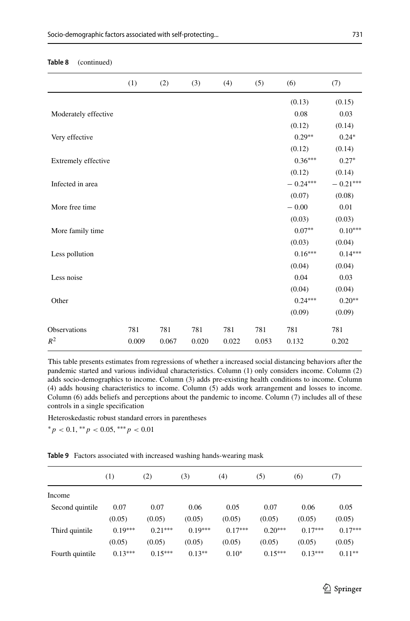|                      | (1)   | (2)   | (3)   | (4)   | (5)   | (6)        | (7)            |
|----------------------|-------|-------|-------|-------|-------|------------|----------------|
|                      |       |       |       |       |       | (0.13)     | (0.15)         |
| Moderately effective |       |       |       |       |       | 0.08       | 0.03           |
|                      |       |       |       |       |       | (0.12)     | (0.14)         |
| Very effective       |       |       |       |       |       | $0.29**$   | $0.24*$        |
|                      |       |       |       |       |       | (0.12)     | (0.14)         |
| Extremely effective  |       |       |       |       |       | $0.36***$  | $0.27*$        |
|                      |       |       |       |       |       | (0.12)     | (0.14)         |
| Infected in area     |       |       |       |       |       | $-0.24***$ | $-0.21***$     |
|                      |       |       |       |       |       | (0.07)     | (0.08)         |
| More free time       |       |       |       |       |       | $-0.00$    | 0.01           |
|                      |       |       |       |       |       | (0.03)     | (0.03)         |
| More family time     |       |       |       |       |       | $0.07**$   | $0.10^{***}\,$ |
|                      |       |       |       |       |       | (0.03)     | (0.04)         |
| Less pollution       |       |       |       |       |       | $0.16***$  | $0.14***$      |
|                      |       |       |       |       |       | (0.04)     | (0.04)         |
| Less noise           |       |       |       |       |       | 0.04       | 0.03           |
|                      |       |       |       |       |       | (0.04)     | (0.04)         |
| Other                |       |       |       |       |       | $0.24***$  | $0.20**$       |
|                      |       |       |       |       |       | (0.09)     | (0.09)         |
| <b>Observations</b>  | 781   | 781   | 781   | 781   | 781   | 781        | 781            |
| $R^2$                | 0.009 | 0.067 | 0.020 | 0.022 | 0.053 | 0.132      | 0.202          |

#### **Table 8** (continued)

This table presents estimates from regressions of whether a increased social distancing behaviors after the pandemic started and various individual characteristics. Column (1) only considers income. Column (2) adds socio-demographics to income. Column (3) adds pre-existing health conditions to income. Column (4) adds housing characteristics to income. Column (5) adds work arrangement and losses to income. Column (6) adds beliefs and perceptions about the pandemic to income. Column (7) includes all of these controls in a single specification

Heteroskedastic robust standard errors in parentheses

∗*p <* 0.1, ∗∗*p <* 0.05, ∗∗∗*p <* 0.01

**Table 9** Factors associated with increased washing hands-wearing mask

|                 | (1)       | (2)       | (3)       | (4)       | (5)       | (6)       | (7)       |
|-----------------|-----------|-----------|-----------|-----------|-----------|-----------|-----------|
| Income          |           |           |           |           |           |           |           |
| Second quintile | 0.07      | 0.07      | 0.06      | 0.05      | 0.07      | 0.06      | 0.05      |
|                 | (0.05)    | (0.05)    | (0.05)    | (0.05)    | (0.05)    | (0.05)    | (0.05)    |
| Third quintile  | $0.19***$ | $0.21***$ | $0.19***$ | $0.17***$ | $0.20***$ | $0.17***$ | $0.17***$ |
|                 | (0.05)    | (0.05)    | (0.05)    | (0.05)    | (0.05)    | (0.05)    | (0.05)    |
| Fourth quintile | $0.13***$ | $0.15***$ | $0.13**$  | $0.10*$   | $0.15***$ | $0.13***$ | $0.11***$ |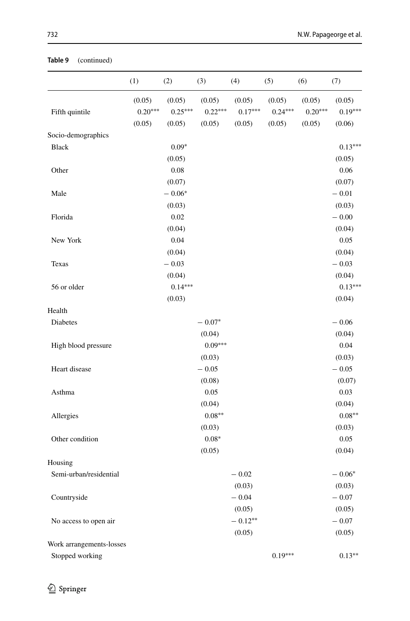|                          | (1)       | (2)       | (3)       | (4)       | (5)       | (6)       | (7)       |
|--------------------------|-----------|-----------|-----------|-----------|-----------|-----------|-----------|
|                          | (0.05)    | (0.05)    | (0.05)    | (0.05)    | (0.05)    | (0.05)    | (0.05)    |
| Fifth quintile           | $0.20***$ | $0.25***$ | $0.22***$ | $0.17***$ | $0.24***$ | $0.20***$ | $0.19***$ |
|                          | (0.05)    | (0.05)    | (0.05)    | (0.05)    | (0.05)    | (0.05)    | (0.06)    |
| Socio-demographics       |           |           |           |           |           |           |           |
| <b>Black</b>             |           | $0.09*$   |           |           |           |           | $0.13***$ |
|                          |           | (0.05)    |           |           |           |           | (0.05)    |
| Other                    |           | $0.08\,$  |           |           |           |           | 0.06      |
|                          |           | (0.07)    |           |           |           |           | (0.07)    |
| Male                     |           | $-0.06*$  |           |           |           |           | $-0.01$   |
|                          |           | (0.03)    |           |           |           |           | (0.03)    |
| Florida                  |           | 0.02      |           |           |           |           | $-0.00$   |
|                          |           | (0.04)    |           |           |           |           | (0.04)    |
| New York                 |           | 0.04      |           |           |           |           | 0.05      |
|                          |           | (0.04)    |           |           |           |           | (0.04)    |
| Texas                    |           | $-0.03$   |           |           |           |           | $-0.03$   |
|                          |           | (0.04)    |           |           |           |           | (0.04)    |
| 56 or older              |           | $0.14***$ |           |           |           |           | $0.13***$ |
|                          |           | (0.03)    |           |           |           |           | (0.04)    |
| Health                   |           |           |           |           |           |           |           |
| Diabetes                 |           |           | $-0.07*$  |           |           |           | $-0.06$   |
|                          |           |           | (0.04)    |           |           |           | (0.04)    |
| High blood pressure      |           |           | $0.09***$ |           |           |           | 0.04      |
|                          |           |           | (0.03)    |           |           |           | (0.03)    |
| Heart disease            |           |           | $-0.05$   |           |           |           | $-0.05$   |
|                          |           |           | (0.08)    |           |           |           | (0.07)    |
| Asthma                   |           |           | 0.05      |           |           |           | 0.03      |
|                          |           |           | (0.04)    |           |           |           | (0.04)    |
| Allergies                |           |           | $0.08**$  |           |           |           | $0.08**$  |
|                          |           |           | (0.03)    |           |           |           | (0.03)    |
| Other condition          |           |           | $0.08*$   |           |           |           | 0.05      |
|                          |           |           | (0.05)    |           |           |           | (0.04)    |
| Housing                  |           |           |           |           |           |           |           |
| Semi-urban/residential   |           |           |           | $-0.02$   |           |           | $-0.06*$  |
|                          |           |           |           | (0.03)    |           |           | (0.03)    |
| Countryside              |           |           |           | $-0.04$   |           |           | $-0.07$   |
|                          |           |           |           | (0.05)    |           |           | (0.05)    |
| No access to open air    |           |           |           | $-0.12**$ |           |           | $-0.07$   |
|                          |           |           |           | (0.05)    |           |           | (0.05)    |
| Work arrangements-losses |           |           |           |           |           |           |           |
| Stopped working          |           |           |           |           | $0.19***$ |           | $0.13**$  |

#### **Table 9** (continued)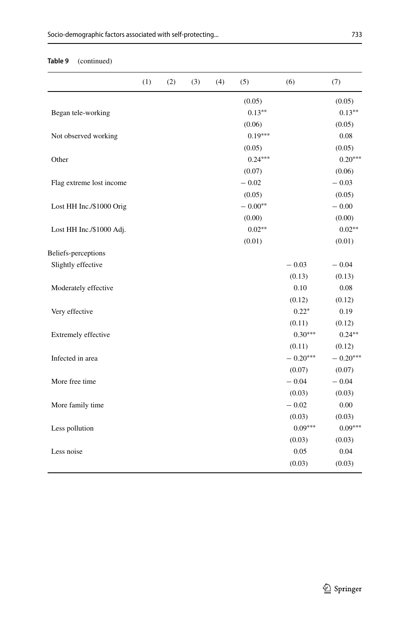### **Table 9** (continued)

|                          | (1) | (2) | (3) | (4) | (5)       | (6)        | (7)        |
|--------------------------|-----|-----|-----|-----|-----------|------------|------------|
|                          |     |     |     |     | (0.05)    |            | (0.05)     |
| Began tele-working       |     |     |     |     | $0.13***$ |            | $0.13***$  |
|                          |     |     |     |     | (0.06)    |            | (0.05)     |
| Not observed working     |     |     |     |     | $0.19***$ |            | 0.08       |
|                          |     |     |     |     | (0.05)    |            | (0.05)     |
| Other                    |     |     |     |     | $0.24***$ |            | $0.20***$  |
|                          |     |     |     |     | (0.07)    |            | (0.06)     |
| Flag extreme lost income |     |     |     |     | $-0.02$   |            | $-0.03$    |
|                          |     |     |     |     | (0.05)    |            | (0.05)     |
| Lost HH Inc./\$1000 Orig |     |     |     |     | $-0.00**$ |            | $-\,0.00$  |
|                          |     |     |     |     | (0.00)    |            | (0.00)     |
| Lost HH Inc./\$1000 Adj. |     |     |     |     | $0.02**$  |            | $0.02**$   |
|                          |     |     |     |     | (0.01)    |            | (0.01)     |
| Beliefs-perceptions      |     |     |     |     |           |            |            |
| Slightly effective       |     |     |     |     |           | $-0.03$    | $-0.04$    |
|                          |     |     |     |     |           | (0.13)     | (0.13)     |
| Moderately effective     |     |     |     |     |           | 0.10       | 0.08       |
|                          |     |     |     |     |           | (0.12)     | (0.12)     |
| Very effective           |     |     |     |     |           | $0.22*$    | 0.19       |
|                          |     |     |     |     |           | (0.11)     | (0.12)     |
| Extremely effective      |     |     |     |     |           | $0.30***$  | $0.24***$  |
|                          |     |     |     |     |           | (0.11)     | (0.12)     |
| Infected in area         |     |     |     |     |           | $-0.20***$ | $-0.20***$ |
|                          |     |     |     |     |           | (0.07)     | (0.07)     |
| More free time           |     |     |     |     |           | $-0.04$    | $-0.04$    |
|                          |     |     |     |     |           | (0.03)     | (0.03)     |
| More family time         |     |     |     |     |           | $-0.02$    | 0.00       |
|                          |     |     |     |     |           | (0.03)     | (0.03)     |
| Less pollution           |     |     |     |     |           | $0.09***$  | $0.09***$  |
|                          |     |     |     |     |           | (0.03)     | (0.03)     |
| Less noise               |     |     |     |     |           | 0.05       | 0.04       |
|                          |     |     |     |     |           | (0.03)     | (0.03)     |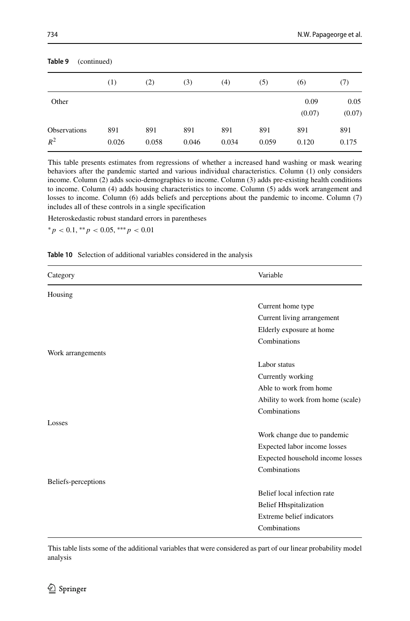| Table 9<br>(continued)       |              |              |              |              |              |                |                |
|------------------------------|--------------|--------------|--------------|--------------|--------------|----------------|----------------|
|                              | (1)          | (2)          | (3)          | (4)          | (5)          | (6)            | (7)            |
| Other                        |              |              |              |              |              | 0.09<br>(0.07) | 0.05<br>(0.07) |
| <b>Observations</b><br>$R^2$ | 891<br>0.026 | 891<br>0.058 | 891<br>0.046 | 891<br>0.034 | 891<br>0.059 | 891<br>0.120   | 891<br>0.175   |

**Table 9** (continued)

This table presents estimates from regressions of whether a increased hand washing or mask wearing behaviors after the pandemic started and various individual characteristics. Column (1) only considers income. Column (2) adds socio-demographics to income. Column (3) adds pre-existing health conditions to income. Column (4) adds housing characteristics to income. Column (5) adds work arrangement and losses to income. Column (6) adds beliefs and perceptions about the pandemic to income. Column (7) includes all of these controls in a single specification

Heteroskedastic robust standard errors in parentheses

∗*p <* 0.1, ∗∗*p <* 0.05, ∗∗∗*p <* 0.01

#### **Table 10** Selection of additional variables considered in the analysis

| Category            | Variable                          |
|---------------------|-----------------------------------|
| Housing             |                                   |
|                     | Current home type                 |
|                     | Current living arrangement        |
|                     | Elderly exposure at home          |
|                     | Combinations                      |
| Work arrangements   |                                   |
|                     | Labor status                      |
|                     | Currently working                 |
|                     | Able to work from home            |
|                     | Ability to work from home (scale) |
|                     | Combinations                      |
| Losses              |                                   |
|                     | Work change due to pandemic       |
|                     | Expected labor income losses      |
|                     | Expected household income losses  |
|                     | Combinations                      |
| Beliefs-perceptions |                                   |
|                     | Belief local infection rate       |
|                     | <b>Belief Hhspitalization</b>     |
|                     | Extreme belief indicators         |
|                     | Combinations                      |

This table lists some of the additional variables that were considered as part of our linear probability model analysis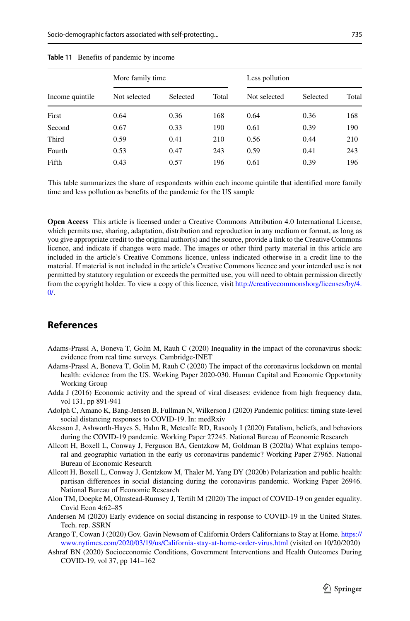<span id="page-44-11"></span>

| <b>Table 11</b> Benefits of pandemic by income |                  |          |       |                |          |       |  |  |  |  |  |
|------------------------------------------------|------------------|----------|-------|----------------|----------|-------|--|--|--|--|--|
|                                                | More family time |          |       | Less pollution |          |       |  |  |  |  |  |
| Income quintile                                | Not selected     | Selected | Total | Not selected   | Selected | Total |  |  |  |  |  |
| First                                          | 0.64             | 0.36     | 168   | 0.64           | 0.36     | 168   |  |  |  |  |  |
| Second                                         | 0.67             | 0.33     | 190   | 0.61           | 0.39     | 190   |  |  |  |  |  |
| Third                                          | 0.59             | 0.41     | 210   | 0.56           | 0.44     | 210   |  |  |  |  |  |
| Fourth                                         | 0.53             | 0.47     | 243   | 0.59           | 0.41     | 243   |  |  |  |  |  |

#### **Table 11** B

This table summarizes the share of respondents within each income quintile that identified more family time and less pollution as benefits of the pandemic for the US sample

Fifth 0.43 0.57 196 0.61 0.39 196

**Open Access** This article is licensed under a Creative Commons Attribution 4.0 International License, which permits use, sharing, adaptation, distribution and reproduction in any medium or format, as long as you give appropriate credit to the original author(s) and the source, provide a link to the Creative Commons licence, and indicate if changes were made. The images or other third party material in this article are included in the article's Creative Commons licence, unless indicated otherwise in a credit line to the material. If material is not included in the article's Creative Commons licence and your intended use is not permitted by statutory regulation or exceeds the permitted use, you will need to obtain permission directly from the copyright holder. To view a copy of this licence, visit [http://creativecommonshorg/licenses/by/4.](http://creativecommonshorg/licenses/by/4.0/)  $\Omega$ 

### **References**

- <span id="page-44-3"></span>Adams-Prassl A, Boneva T, Golin M, Rauh C (2020) Inequality in the impact of the coronavirus shock: evidence from real time surveys. Cambridge-INET
- <span id="page-44-7"></span>Adams-Prassl A, Boneva T, Golin M, Rauh C (2020) The impact of the coronavirus lockdown on mental health: evidence from the US. Working Paper 2020-030. Human Capital and Economic Opportunity Working Group
- <span id="page-44-4"></span>Adda J (2016) Economic activity and the spread of viral diseases: evidence from high frequency data, vol 131, pp 891-941
- <span id="page-44-1"></span>Adolph C, Amano K, Bang-Jensen B, Fullman N, Wilkerson J (2020) Pandemic politics: timing state-level social distancing responses to COVID-19. In: medRxiv
- <span id="page-44-10"></span>Akesson J, Ashworth-Hayes S, Hahn R, Metcalfe RD, Rasooly I (2020) Fatalism, beliefs, and behaviors during the COVID-19 pandemic. Working Paper 27245. National Bureau of Economic Research
- <span id="page-44-8"></span>Allcott H, Boxell L, Conway J, Ferguson BA, Gentzkow M, Goldman B (2020a) What explains temporal and geographic variation in the early us coronavirus pandemic? Working Paper 27965. National Bureau of Economic Research
- <span id="page-44-2"></span>Allcott H, Boxell L, Conway J, Gentzkow M, Thaler M, Yang DY (2020b) Polarization and public health: partisan differences in social distancing during the coronavirus pandemic. Working Paper 26946. National Bureau of Economic Research
- <span id="page-44-0"></span>Alon TM, Doepke M, Olmstead-Rumsey J, Tertilt M (2020) The impact of COVID-19 on gender equality. Covid Econ 4:62–85
- <span id="page-44-6"></span>Andersen M (2020) Early evidence on social distancing in response to COVID-19 in the United States. Tech. rep. SSRN
- <span id="page-44-9"></span>Arango T, Cowan J (2020) Gov. Gavin Newsom of California Orders Californians to Stay at Home. [https://](https://www.nytimes.com/2020/03/19/us/California-stay-at-home-order-virus.html) [www.nytimes.com/2020/03/19/us/California-stay-at-home-order-virus.html](https://www.nytimes.com/2020/03/19/us/California-stay-at-home-order-virus.html) (visited on 10/20/2020)
- <span id="page-44-5"></span>Ashraf BN (2020) Socioeconomic Conditions, Government Interventions and Health Outcomes During COVID-19, vol 37, pp 141–162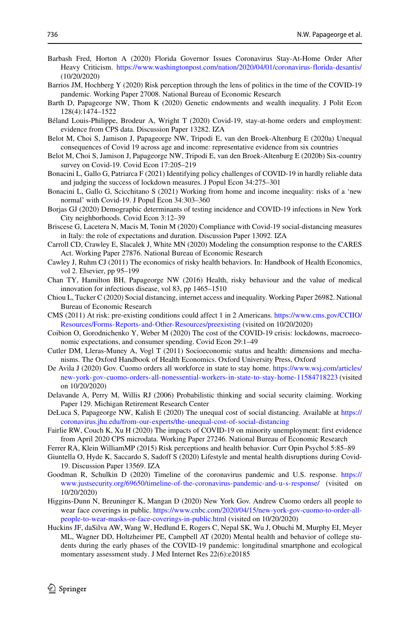- <span id="page-45-17"></span>Barbash Fred, Horton A (2020) Florida Governor Issues Coronavirus Stay-At-Home Order After Heavy Criticism. <https://www.washingtonpost.com/nation/2020/04/01/coronavirus-florida-desantis/> (10/20/2020)
- <span id="page-45-10"></span>Barrios JM, Hochberg Y (2020) Risk perception through the lens of politics in the time of the COVID-19 pandemic. Working Paper 27008. National Bureau of Economic Research
- <span id="page-45-22"></span>Barth D, Papageorge NW, Thom K (2020) Genetic endowments and wealth inequality. J Polit Econ 128(4):1474–1522
- <span id="page-45-2"></span>Beland Louis-Philippe, Brodeur A, Wright T (2020) Covid-19, stay-at-home orders and employment: ´ evidence from CPS data. Discussion Paper 13282. IZA
- <span id="page-45-4"></span>Belot M, Choi S, Jamison J, Papageorge NW, Tripodi E, van den Broek-Altenburg E (2020a) Unequal consequences of Covid 19 across age and income: representative evidence from six countries
- <span id="page-45-5"></span>Belot M, Choi S, Jamison J, Papageorge NW, Tripodi E, van den Broek-Altenburg E (2020b) Six-country survey on Covid-19. Covid Econ 17:205–219
- <span id="page-45-6"></span>Bonacini L, Gallo G, Patriarca F (2021) Identifying policy challenges of COVID-19 in hardly reliable data and judging the success of lockdown measures. J Popul Econ 34:275–301
- <span id="page-45-7"></span>Bonacini L, Gallo G, Scicchitano S (2021) Working from home and income inequality: risks of a 'new normal' with Covid-19. J Popul Econ 34:303–360
- <span id="page-45-9"></span>Borjas GJ (2020) Demographic determinants of testing incidence and COVID-19 infections in New York City neighborhoods. Covid Econ 3:12–39
- <span id="page-45-3"></span>Briscese G, Lacetera N, Macis M, Tonin M (2020) Compliance with Covid-19 social-distancing measures in Italy: the role of expectations and duration. Discussion Paper 13092. IZA
- <span id="page-45-24"></span>Carroll CD, Crawley E, Slacalek J, White MN (2020) Modeling the consumption response to the CARES Act. Working Paper 27876. National Bureau of Economic Research
- <span id="page-45-13"></span>Cawley J, Ruhm CJ (2011) The economics of risky health behaviors. In: Handbook of Health Economics, vol 2. Elsevier, pp 95–199
- <span id="page-45-12"></span>Chan TY, Hamilton BH, Papageorge NW (2016) Health, risky behaviour and the value of medical innovation for infectious disease, vol 83, pp 1465–1510
- <span id="page-45-8"></span>Chiou L, Tucker C (2020) Social distancing, internet access and inequality. Working Paper 26982. National Bureau of Economic Research
- <span id="page-45-19"></span>CMS (2011) At risk: pre-existing conditions could affect 1 in 2 Americans. [https://www.cms.gov/CCIIO/](https://www.cms.gov/CCIIO/Resources/Forms-Reports-and-Other-Resources/preexisting) [Resources/Forms-Reports-and-Other-Resources/preexisting](https://www.cms.gov/CCIIO/Resources/Forms-Reports-and-Other-Resources/preexisting) (visited on 10/20/2020)
- <span id="page-45-1"></span>Coibion O, Gorodnichenko Y, Weber M (2020) The cost of the COVID-19 crisis: lockdowns, macroeconomic expectations, and consumer spending. Covid Econ 29:1–49
- <span id="page-45-11"></span>Cutler DM, Lleras-Muney A, Vogl T (2011) Socioeconomic status and health: dimensions and mechanisms. The Oxford Handbook of Health Economics. Oxford University Press, Oxford
- <span id="page-45-16"></span>De Avila J (2020) Gov. Cuomo orders all workforce in state to stay home. [https://www.wsj.com/articles/](https://www.wsj.com/articles/new-york-gov-cuomo-orders-all-nonessential-workers-in-state-to-stay-home-11584718223) [new-york-gov-cuomo-orders-all-nonessential-workers-in-state-to-stay-home-11584718223](https://www.wsj.com/articles/new-york-gov-cuomo-orders-all-nonessential-workers-in-state-to-stay-home-11584718223) (visited on 10/20/2020)
- <span id="page-45-23"></span>Delavande A, Perry M, Willis RJ (2006) Probabilistic thinking and social security claiming. Working Paper 129. Michigan Retirement Research Center
- <span id="page-45-14"></span>DeLuca S, Papageorge NW, Kalish E (2020) The unequal cost of social distancing. Available at [https://](https://coronavirus.jhu.edu/from-our-experts/the-unequal-cost-of-social-distancing) [coronavirus.jhu.edu/from-our-experts/the-unequal-cost-of-social-distancing](https://coronavirus.jhu.edu/from-our-experts/the-unequal-cost-of-social-distancing)
- <span id="page-45-0"></span>Fairlie RW, Couch K, Xu H (2020) The impacts of COVID-19 on minority unemployment: first evidence from April 2020 CPS microdata. Working Paper 27246. National Bureau of Economic Research
- <span id="page-45-25"></span>Ferrer RA, Klein WilliamMP (2015) Risk perceptions and health behavior. Curr Opin Psychol 5:85–89
- <span id="page-45-20"></span>Giuntella O, Hyde K, Saccardo S, Sadoff S (2020) Lifestyle and mental health disruptions during Covid-19. Discussion Paper 13569. IZA
- <span id="page-45-15"></span>Goodman R, Schulkin D (2020) Timeline of the coronavirus pandemic and U.S. response. [https://](https://www.justsecurity.org/69650/timeline-of-the-coronavirus-pandemic-and-u-s-response/) [www.justsecurity.org/69650/timeline-of-the-coronavirus-pandemic-and-u-s-response/](https://www.justsecurity.org/69650/timeline-of-the-coronavirus-pandemic-and-u-s-response/) (visited on 10/20/2020)
- <span id="page-45-18"></span>Higgins-Dunn N, Breuninger K, Mangan D (2020) New York Gov. Andrew Cuomo orders all people to wear face coverings in public. [https://www.cnbc.com/2020/04/15/new-york-gov-cuomo-to-order-all](https://www.cnbc.com/2020/04/15/new-york-gov-cuomo-to-order-all-people-to-wear-masks-or-face-coverings-in-public.html)[people-to-wear-masks-or-face-coverings-in-public.html](https://www.cnbc.com/2020/04/15/new-york-gov-cuomo-to-order-all-people-to-wear-masks-or-face-coverings-in-public.html) (visited on 10/20/2020)
- <span id="page-45-21"></span>Huckins JF, daSilva AW, Wang W, Hedlund E, Rogers C, Nepal SK, Wu J, Obuchi M, Murphy EI, Meyer ML, Wagner DD, Holtzheimer PE, Campbell AT (2020) Mental health and behavior of college students during the early phases of the COVID-19 pandemic: longitudinal smartphone and ecological momentary assessment study. J Med Internet Res 22(6):e20185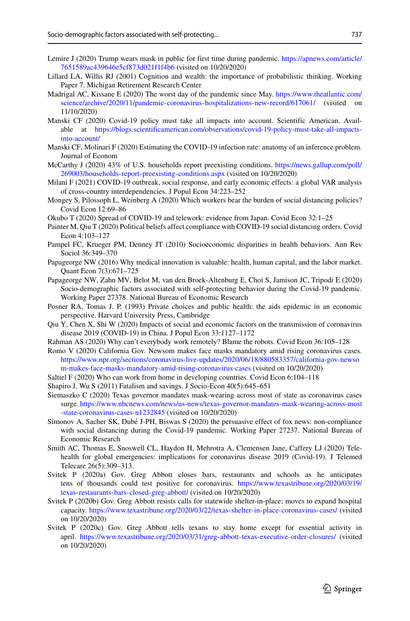- 737
- <span id="page-46-16"></span>Lemire J (2020) Trump wears mask in public for first time during pandemic. [https://apnews.com/article/](https://apnews.com/article/7651589ac439646e5cf873d021f1f4b6) [7651589ac439646e5cf873d021f1f4b6](https://apnews.com/article/7651589ac439646e5cf873d021f1f4b6) (visited on 10/20/2020)
- <span id="page-46-21"></span>Lillard LA, Willis RJ (2001) Cognition and wealth: the importance of probabilistic thinking. Working Paper 7. Michigan Retirement Research Center
- <span id="page-46-22"></span>Madrigal AC, Kissane E (2020) The worst day of the pandemic since May. [https://www.theatlantic.com/](https://www.theatlantic.com/science/archive/2020/11/pandemic-coronavirus-hospitalizations-new-record/617061/) [science/archive/2020/11/pandemic-coronavirus-hospitalizations-new-record/617061/](https://www.theatlantic.com/science/archive/2020/11/pandemic-coronavirus-hospitalizations-new-record/617061/) (visited on 11/10/2020)
- <span id="page-46-2"></span>Manski CF (2020) Covid-19 policy must take all impacts into account. Scientific American. Available at [https://blogs.scientificamerican.com/observations/covid-19-policy-must-take-all-impacts](https://blogs.scientificamerican.com/observations/covid-19-policy-must-take-all-impacts-into-account/)[into-account/](https://blogs.scientificamerican.com/observations/covid-19-policy-must-take-all-impacts-into-account/)
- <span id="page-46-4"></span>Manski CF, Molinari F (2020) Estimating the COVID-19 infection rate: anatomy of an inference problem. Journal of Econom
- <span id="page-46-19"></span>McCarthy J (2020) 43% of U.S. households report preexisting conditions. [https://news.gallup.com/poll/](https://news.gallup.com/poll/269003/households-report-preexisting-conditions.aspx) [269003/households-report-preexisting-conditions.aspx](https://news.gallup.com/poll/269003/households-report-preexisting-conditions.aspx) (visited on 10/20/2020)
- <span id="page-46-6"></span>Milani F (2021) COVID-19 outbreak, social response, and early economic effects: a global VAR analysis of cross-country interdependencies. J Popul Econ 34:223–252
- <span id="page-46-3"></span>Mongey S, Pilossoph L, Weinberg A (2020) Which workers bear the burden of social distancing policies? Covid Econ 12:69–86
- <span id="page-46-8"></span>Okubo T (2020) Spread of COVID-19 and telework: evidence from Japan. Covid Econ 32:1–25
- <span id="page-46-10"></span>Painter M, Qiu T (2020) Political beliefs affect compliance with COVID-19 social distancing orders. Covid Econ 4:103–127
- <span id="page-46-1"></span>Pampel FC, Krueger PM, Denney JT (2010) Socioeconomic disparities in health behaviors. Ann Rev Sociol 36:349–370
- <span id="page-46-12"></span>Papageorge NW (2016) Why medical innovation is valuable: health, human capital, and the labor market. Quant Econ 7(3):671–725
- <span id="page-46-20"></span>Papageorge NW, Zahn MV, Belot M, van den Broek-Altenburg E, Choi S, Jamison JC, Tripodi E (2020) Socio-demographic factors associated with self-protecting behavior during the Covid-19 pandemic. Working Paper 27378. National Bureau of Economic Research
- <span id="page-46-0"></span>Posner RA, Tomas J. P. (1993) Private choices and public health: the aids epidemic in an economic perspective. Harvard University Press, Cambridge
- <span id="page-46-5"></span>Qiu Y, Chen X, Shi W (2020) Impacts of social and economic factors on the transmission of coronavirus disease 2019 (COVID-19) in China. J Popul Econ 33:1127–1172
- <span id="page-46-9"></span>Rahman AS (2020) Why can't everybody work remotely? Blame the robots. Covid Econ 36:105–128
- <span id="page-46-17"></span>Romo V (2020) California Gov. Newsom makes face masks mandatory amid rising coronavirus cases. [https://www.npr.org/sections/coronavirus-live-updates/2020/06/18/880583357/california-gov-newso](https://www.npr.org/sections/coronavirus-live-updates/2020/06/18/880583357/california-gov-newsom-makes-face-masks-mandatory-amid-rising-coronavirus-cases) [m-makes-face-masks-mandatory-amid-rising-coronavirus-cases](https://www.npr.org/sections/coronavirus-live-updates/2020/06/18/880583357/california-gov-newsom-makes-face-masks-mandatory-amid-rising-coronavirus-cases) (visited on 10/20/2020)
- <span id="page-46-7"></span>Saltiel F (2020) Who can work from home in developing countries. Covid Econ 6:104–118
- <span id="page-46-24"></span>Shapiro J, Wu S (2011) Fatalism and savings. J Socio-Econ 40(5):645–651
- <span id="page-46-18"></span>Siemaszko C (2020) Texas governor mandates mask-wearing across most of state as coronavirus cases surge. [https://www.nbcnews.com/news/us-news/texas-governor-mandates-mask-wearing-across-most](https://www.nbcnews.com/news/us-news/texas-governor-mandates-mask-wearing-across-most-state-coronavirus-cases-n1232845) [-state-coronavirus-cases-n1232845](https://www.nbcnews.com/news/us-news/texas-governor-mandates-mask-wearing-across-most-state-coronavirus-cases-n1232845) (visited on 10/20/2020)
- <span id="page-46-11"></span>Simonov A, Sacher SK, Dubé J-PH, Biswas S (2020) the persuasive effect of fox news: non-compliance with social distancing during the Covid-19 pandemic. Working Paper 27237. National Bureau of Economic Research
- <span id="page-46-23"></span>Smith AC, Thomas E, Snoswell CL, Haydon H, Mehrotra A, Clemensen Jane, Caffery LJ (2020) Telehealth for global emergencies: implications for coronavirus disease 2019 (Covid-19). J Telemed Telecare 26(5):309–313.
- <span id="page-46-13"></span>Svitek P (2020a) Gov. Greg Abbott closes bars, restaurants and schools as he anticipates tens of thousands could test positive for coronavirus. [https://www.texastribune.org/2020/03/19/](https://www.texastribune.org/2020/03/19/texas-restaurants-bars-closed-greg-abbott/) [texas-restaurants-bars-closed-greg-abbott/](https://www.texastribune.org/2020/03/19/texas-restaurants-bars-closed-greg-abbott/) (visited on 10/20/2020)
- <span id="page-46-14"></span>Svitek P (2020b) Gov. Greg Abbott resists calls for statewide shelter-in-place; moves to expand hospital capacity. <https://www.texastribune.org/2020/03/22/texas-shelter-in-place-coronavirus-cases/> (visited on 10/20/2020)
- <span id="page-46-15"></span>Svitek P (2020c) Gov. Greg Abbott tells texans to stay home except for essential activity in april. <https://www.texastribune.org/2020/03/31/greg-abbott-texas-executive-order-closures/> (visited on 10/20/2020)